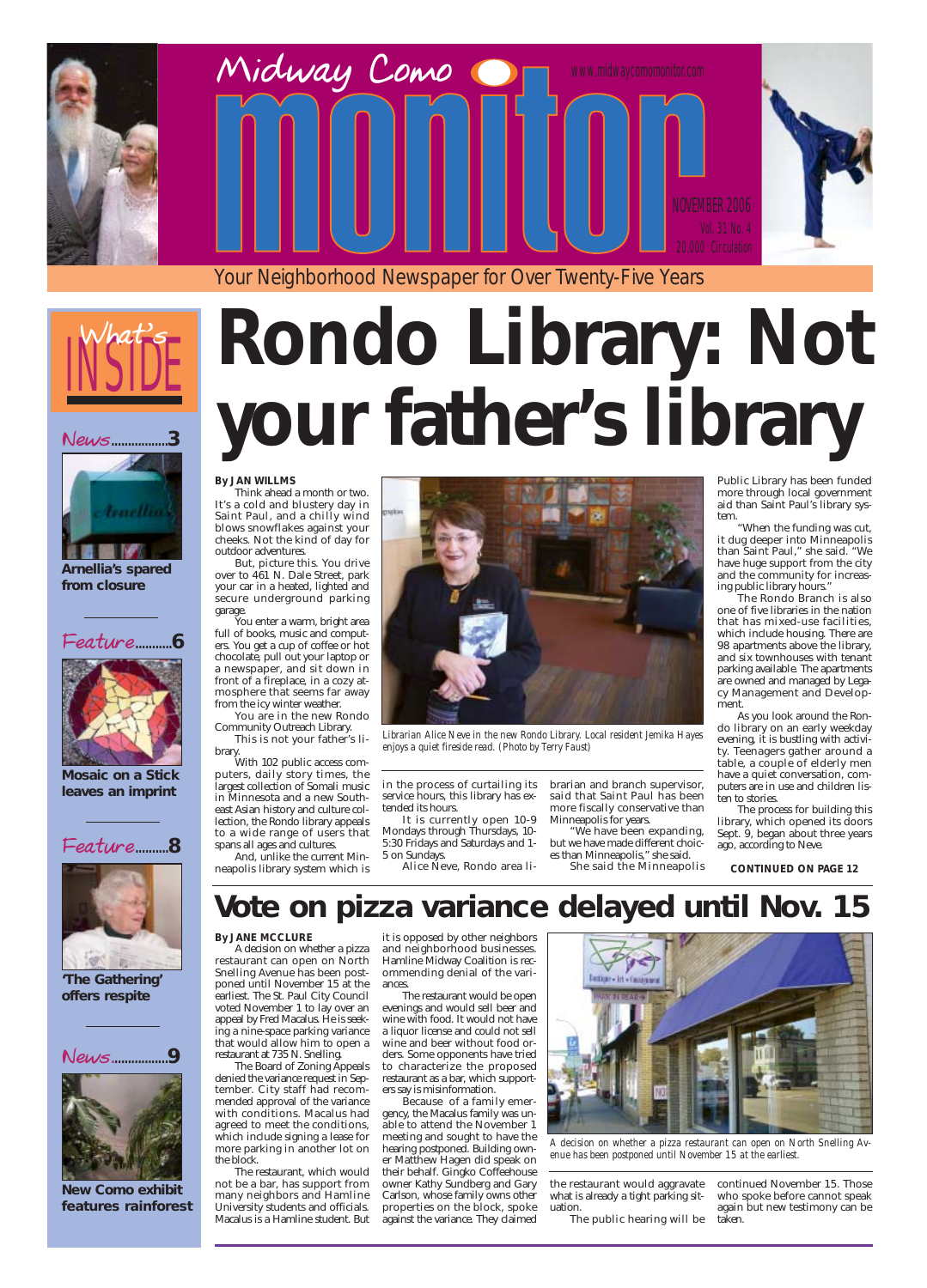# INSIDE **What's**

#### **News**.................**3**







**Arnellia's spared from closure**







**Mosaic on a Stick leaves an imprint**

**'The Gathering' offers respite**

**Feature**...........**6**

Your Neighborhood Newspaper for Over Twenty-Five Years

# **Rondo Library: Not your father's library**





**New Como exhibit features rainforest**

#### **By JAN WILLMS**

Think ahead a month or two. It's a cold and blustery day in Saint Paul, and a chilly wind blows snowflakes against your cheeks. Not the kind of day for outdoor adventures.

But, picture this. You drive over to 461 N. Dale Street, park your car in a heated, lighted and secure underground parking garage.

You enter a warm, bright area full of books, music and computers. You get a cup of coffee or hot chocolate, pull out your laptop or a newspaper, and sit down in front of a fireplace, in a cozy atmosphere that seems far away from the icy winter weather.

> We have been expanding, but we have made different choices than Minneapolis," she said.

You are in the new Rondo Community Outreach Library. This is not your father's li-

brary.

With 102 public access computers, daily story times, the largest collection of Somali music in Minnesota and a new Southeast Asian history and culture collection, the Rondo library appeals to a wide range of users that spans all ages and cultures.

And, unlike the current Minneapolis library system which is in the process of curtailing its service hours, this library has extended its hours.

It is currently open 10-9 Mondays through Thursdays, 10- 5:30 Fridays and Saturdays and 1- 5 on Sundays.

Alice Neve, Rondo area li-

brarian and branch supervisor, said that Saint Paul has been more fiscally conservative than Minneapolis for years.

She said the Minneapolis

Public Library has been funded more through local government aid than Saint Paul's library system.

"When the funding was cut, it dug deeper into Minneapolis than Saint Paul," she said. "We have huge support from the city and the community for increasing public library hours."

The Rondo Branch is also one of five libraries in the nation that has mixed-use facilities, which include housing. There are 98 apartments above the library, and six townhouses with tenant parking available. The apartments are owned and managed by Legacy Management and Development.

As you look around the Rondo library on an early weekday evening, it is bustling with activity. Teenagers gather around a table, a couple of elderly men have a quiet conversation, computers are in use and children listen to stories.

The process for building this library, which opened its doors Sept. 9, began about three years ago, according to Neve.

**CONTINUED ON PAGE 12**

#### **By JANE MCCLURE**

A decision on whether a pizza restaurant can open on North Snelling Avenue has been postponed until November 15 at the earliest. The St. Paul City Council voted November 1 to lay over an appeal by Fred Macalus. He is seeking a nine-space parking variance that would allow him to open a restaurant at 735 N. Snelling. The Board of Zoning Appeals denied the variance request in September. City staff had recommended approval of the variance with conditions. Macalus had agreed to meet the conditions, which include signing a lease for more parking in another lot on the block.

The restaurant, which would not be a bar, has support from many neighbors and Hamline University students and officials. Macalus is a Hamline student. But

it is opposed by other neighbors and neighborhood businesses. Hamline Midway Coalition is recommending denial of the variances.

The restaurant would be open



evenings and would sell beer and wine with food. It would not have a liquor license and could not sell wine and beer without food orders. Some opponents have tried to characterize the proposed restaurant as a bar, which supporters say is misinformation.

Because of a family emergency, the Macalus family was unable to attend the November 1 meeting and sought to have the hearing postponed. Building owner Matthew Hagen did speak on their behalf. Gingko Coffeehouse owner Kathy Sundberg and Gary Carlson, whose family owns other properties on the block, spoke against the variance. They claimed

the restaurant would aggravate what is already a tight parking situation.

The public hearing will be

continued November 15. Those who spoke before cannot speak again but new testimony can be taken.



*Librarian Alice Neve in the new Rondo Library. Local resident Jemika Hayes enjoys a quiet fireside read. (Photo by Terry Faust)*

# **Vote on pizza variance delayed until Nov. 15**

*A decision on whether a pizza restaurant can open on North Snelling Avenue has been postponed until November 15 at the earliest.*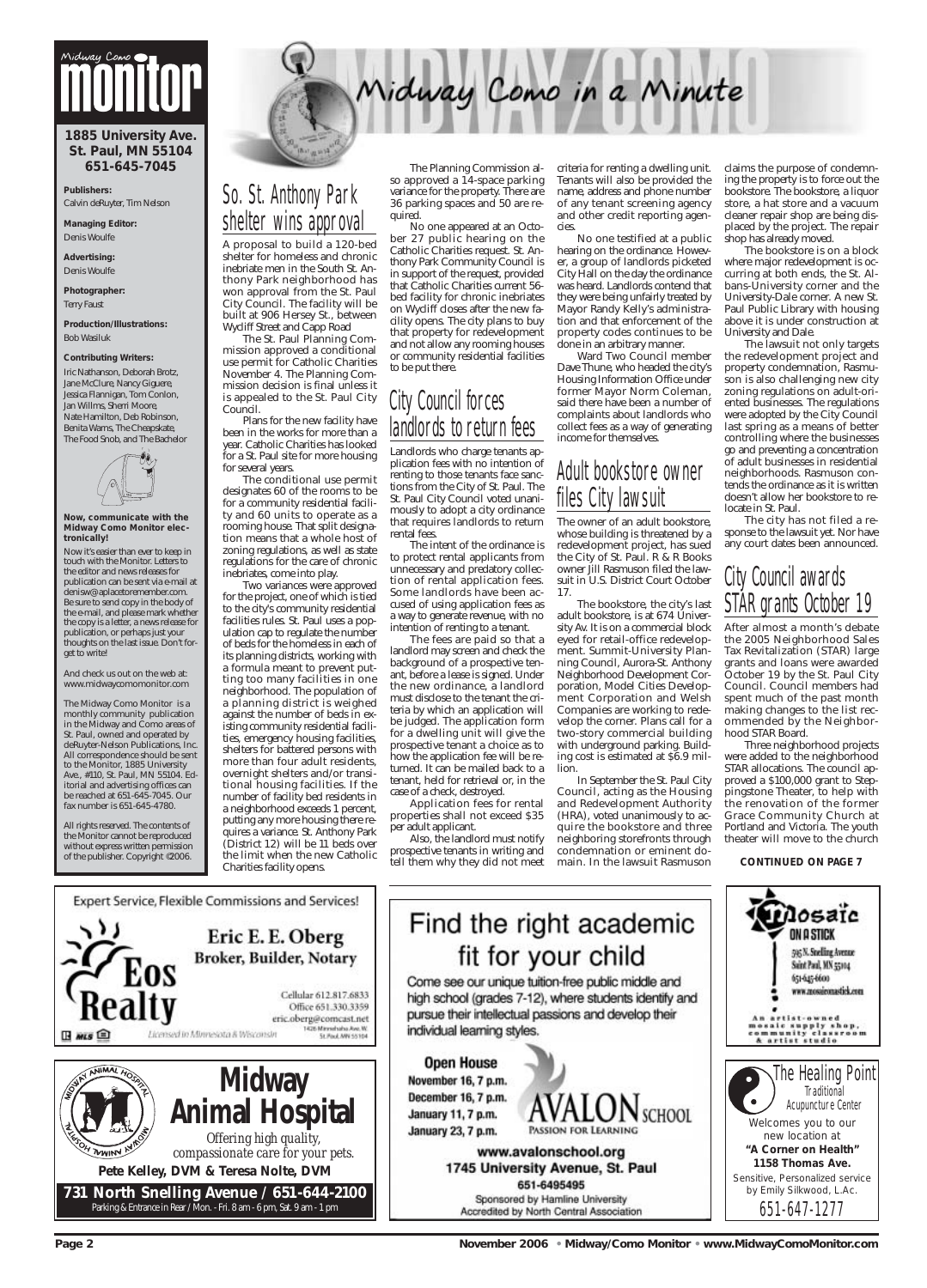## So. St. Anthony Park shelter wins approval

A proposal to build a 120-bed shelter for homeless and chronic inebriate men in the South St. Anthony Park neighborhood has won approval from the St. Paul City Council. The facility will be built at 906 Hersey St., between Wycliff Street and Capp Road

The St. Paul Planning Commission approved a conditional use permit for Catholic Charities November 4. The Planning Commission decision is final unless it is appealed to the St. Paul City Council.

Plans for the new facility have been in the works for more than a year. Catholic Charities has looked for a St. Paul site for more housing for several years.

The conditional use permit designates 60 of the rooms to be for a community residential facility and 60 units to operate as a rooming house. That split designation means that a whole host of zoning regulations, as well as state regulations for the care of chronic inebriates, come into play.

Two variances were approved for the project, one of which is tied to the city's community residential facilities rules. St. Paul uses a population cap to regulate the number of beds for the homeless in each of its planning districts, working with a formula meant to prevent putting too many facilities in one neighborhood. The population of a planning district is weighed against the number of beds in existing community residential facilities, emergency housing facilities, shelters for battered persons with more than four adult residents, overnight shelters and/or transitional housing facilities. If the number of facility bed residents in a neighborhood exceeds 1 percent, putting any more housing there requires a variance. St. Anthony Park (District 12) will be 11 beds over the limit when the new Catholic Charities facility opens.

The Planning Commission also approved a 14-space parking variance for the property. There are 36 parking spaces and 50 are required.

No one appeared at an October 27 public hearing on the Catholic Charities request. St. Anthony Park Community Council is in support of the request, provided that Catholic Charities current 56 bed facility for chronic inebriates on Wycliff closes after the new facility opens. The city plans to buy that property for redevelopment and not allow any rooming houses or community residential facilities to be put there.

## City Council forces landlords to return fees

Landlords who charge tenants application fees with no intention of renting to those tenants face sanctions from the City of St. Paul. The St. Paul City Council voted unanimously to adopt a city ordinance that requires landlords to return rental fees.

The intent of the ordinance is to protect rental applicants from unnecessary and predatory collection of rental application fees. Some landlords have been accused of using application fees as a way to generate revenue, with no intention of renting to a tenant.

## City Council awards STÅR grants October 19

The fees are paid so that a landlord may screen and check the background of a prospective tenant, before a lease is signed. Under the new ordinance, a landlord must disclose to the tenant the criteria by which an application will be judged. The application form for a dwelling unit will give the prospective tenant a choice as to how the application fee will be returned. It can be mailed back to a tenant, held for retrieval or, in the case of a check, destroyed.

Application fees for rental properties shall not exceed \$35 per adult applicant.

Also, the landlord must notify prospective tenants in writing and tell them why they did not meet criteria for renting a dwelling unit. Tenants will also be provided the name, address and phone number of any tenant screening agency and other credit reporting agencies.

Vidway Como in a Minute

No one testified at a public hearing on the ordinance. However, a group of landlords picketed City Hall on the day the ordinance was heard. Landlords contend that they were being unfairly treated by Mayor Randy Kelly's administration and that enforcement of the property codes continues to be done in an arbitrary manner.

Ward Two Council member Dave Thune, who headed the city's Housing Information Office under former Mayor Norm Coleman, said there have been a number of complaints about landlords who collect fees as a way of generating income for themselves.

## Adult bookstore owner files City lawsuit

An artist-owned<br>mosaic supply shop,<br>community classroom<br>& artist studio The Healing Point **Traditional** Acupuncture Center Welcomes you to our new location at **"A Corner on Health" 1158 Thomas Ave.** *Sensitive, Personalized service by Emily Silkwood, L.Ac.* 651-647-1277

The owner of an adult bookstore, whose building is threatened by a redevelopment project, has sued the City of St. Paul. R & R Books owner Jill Rasmuson filed the lawsuit in U.S. District Court October 17.

The bookstore, the city's last adult bookstore, is at 674 University Av. It is on a commercial block eyed for retail-office redevelopment. Summit-University Planning Council, Aurora-St. Anthony Neighborhood Development Corporation, Model Cities Development Corporation and Welsh Companies are working to redevelop the corner. Plans call for a two-story commercial building with underground parking. Building cost is estimated at \$6.9 million.

In September the St. Paul City Council, acting as the Housing and Redevelopment Authority (HRA), voted unanimously to acquire the bookstore and three neighboring storefronts through condemnation or eminent domain. In the lawsuit Rasmuson

claims the purpose of condemning the property is to force out the bookstore. The bookstore, a liquor store, a hat store and a vacuum cleaner repair shop are being displaced by the project. The repair shop has already moved.

The bookstore is on a block where major redevelopment is occurring at both ends, the St. Albans-University corner and the University-Dale corner. A new St. Paul Public Library with housing above it is under construction at University and Dale.

The lawsuit not only targets the redevelopment project and property condemnation, Rasmuson is also challenging new city zoning regulations on adult-oriented businesses. The regulations were adopted by the City Council last spring as a means of better controlling where the businesses go and preventing a concentration of adult businesses in residential neighborhoods. Rasmuson contends the ordinance as it is written doesn't allow her bookstore to relocate in St. Paul.

The city has not filed a response to the lawsuit yet. Nor have any court dates been announced.

After almost a month's debate the 2005 Neighborhood Sales Tax Revitalization (STAR) large grants and loans were awarded October 19 by the St. Paul City Council. Council members had spent much of the past month making changes to the list recommended by the Neighborhood STAR Board.

Three neighborhood projects were added to the neighborhood STAR allocations. The council approved a \$100,000 grant to Steppingstone Theater, to help with the renovation of the former Grace Community Church at Portland and Victoria. The youth theater will move to the church

#### **CONTINUED ON PAGE 7**



Expert Service, Flexible Commissions and Services!

**Page 2 November 2006 • Midway/Como Monitor • www.MidwayComoMonitor.com** 

#### **1885 University Ave. St. Paul, MN 55104 651-645-7045**

**Publishers:** Calvin deRuyter, Tim Nelson

**Managing Editor:**  Denis Woulfe

**Advertising:**  Denis Woulfe

**Photographer:** Terry Faust

**Production/Illustrations:** Bob Wasiluk

#### **Contributing Writers:**

Iric Nathanson, Deborah Brotz, Jane McClure, Nancy Giguere, Jessica Flannigan, Tom Conlon, Jan Willms, Sherri Moore, Nate Hamilton, Deb Robinson, Benita Warns, The Cheapskate, The Food Snob, and The Bachelor



**Now, communicate with the Midway Como Monitor electronically!**

Now it's easier than ever to keep in touch with the Monitor. Letters to the editor and news releases for publication can be sent via e-mail at denisw@aplacetoremember.com. Be sure to send copy in the body of the e-mail, and please mark whether the copy is a letter, a news release for publication, or perhaps just your thoughts on the last issue. Don't forget to write!

And check us out on the web at: www.midwaycomomonitor.com

The Midway Como Monitor is a monthly community publication in the Midway and Como areas of St. Paul, owned and operated by deRuyter-Nelson Publications, Inc. All correspondence should be sent to the Monitor, 1885 University Ave., #110, St. Paul, MN 55104. Editorial and advertising offices can be reached at 651-645-7045. Our fax number is 651-645-4780.

All rights reserved. The contents of the Monitor cannot be reproduced without express written permission of the publisher. Copyright ©2006.

# **Midway Como**



# Find the right academic fit for your child

Come see our unique tuition-free public middle and high school (grades 7-12), where students identify and

pursue their intellectual passions and develop their individual learning styles.

**Open House** November 16, 7 p.m. December 16, 7 p.m. SCHOOL January 11, 7 p.m. January 23, 7 p.m.

> www.avalonschool.org 1745 University Avenue, St. Paul 651-6495495 Sponsored by Hamline University Accredited by North Central Association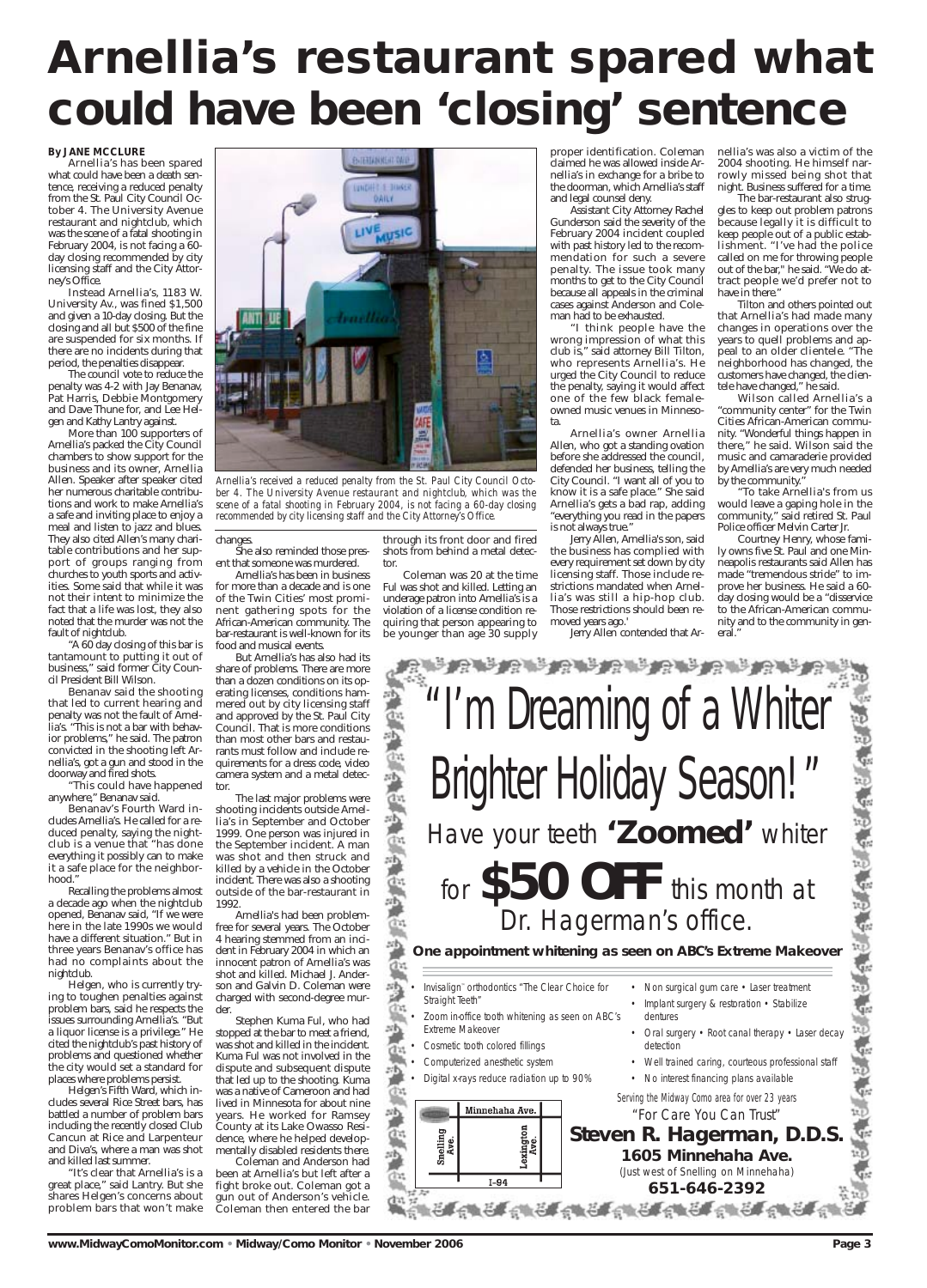#### **By JANE MCCLURE**

Arnellia's has been spared what could have been a death sentence, receiving a reduced penalty from the St. Paul City Council October 4. The University Avenue restaurant and nightclub, which was the scene of a fatal shooting in February 2004, is not facing a 60 day closing recommended by city licensing staff and the City Attorney's Office.

Instead Arnellia's, 1183 W. University Av., was fined \$1,500 and given a 10-day closing. But the closing and all but \$500 of the fine are suspended for six months. If there are no incidents during that period, the penalties disappear.

The council vote to reduce the penalty was 4-2 with Jay Benanav, Pat Harris, Debbie Montgomery and Dave Thune for, and Lee Helgen and Kathy Lantry against.

More than 100 supporters of Arnellia's packed the City Council chambers to show support for the business and its owner, Arnellia Allen. Speaker after speaker cited her numerous charitable contributions and work to make Arnellia's a safe and inviting place to enjoy a meal and listen to jazz and blues. They also cited Allen's many charitable contributions and her support of groups ranging from churches to youth sports and activities. Some said that while it was not their intent to minimize the fact that a life was lost, they also noted that the murder was not the fault of nightclub.

"A 60 day closing of this bar is tantamount to putting it out of business," said former City Council President Bill Wilson.

Benanav said the shooting that led to current hearing and penalty was not the fault of Arnellia's. "This is not a bar with behavior problems," he said. The patron convicted in the shooting left Arnellia's, got a gun and stood in the doorway and fired shots.

"This could have happened anywhere," Benanav said.

Benanav's Fourth Ward includes Arnellia's. He called for a reduced penalty, saying the nightclub is a venue that "has done everything it possibly can to make it a safe place for the neighborhood."

Recalling the problems almost a decade ago when the nightclub opened, Benanav said, "If we were here in the late 1990s we would have a different situation." But in three years Benanav's office has had no complaints about the nightclub.

Helgen, who is currently trying to toughen penalties against problem bars, said he respects the issues surrounding Arnellia's. "But a liquor license is a privilege." He cited the nightclub's past history of problems and questioned whether the city would set a standard for places where problems persist. Helgen's Fifth Ward, which includes several Rice Street bars, has battled a number of problem bars including the recently closed Club Cancun at Rice and Larpenteur and Diva's, where a man was shot and killed last summer. "It's clear that Arnellia's is a great place," said Lantry. But she shares Helgen's concerns about problem bars that won't make

#### changes.

She also reminded those present that someone was murdered.

Arnellia's has been in business for more than a decade and is one of the Twin Cities' most prominent gathering spots for the African-American community. The bar-restaurant is well-known for its food and musical events.

But Arnellia's has also had its share of problems. There are more than a dozen conditions on its operating licenses, conditions hammered out by city licensing staff and approved by the St. Paul City Council. That is more conditions than most other bars and restaurants must follow and include requirements for a dress code, video camera system and a metal detector.

The last major problems were shooting incidents outside Arnellia's in September and October 1999. One person was injured in the September incident. A man was shot and then struck and killed by a vehicle in the October incident. There was also a shooting outside of the bar-restaurant in 1992.

- Straight Teeth"
- Invisalign™ orthodontics "The Clear Choice for Non surgical gum care Laser treatment
	- Implant surgery & restoration Stabilize

- Cosmetic tooth colored fillings
- Computerized anesthetic system
- Digital x-rays reduce radiation up to 90%



Arnellia's had been problemfree for several years. The October 4 hearing stemmed from an incident in February 2004 in which an innocent patron of Arnellia's was shot and killed. Michael J. Anderson and Galvin D. Coleman were charged with second-degree mur-

- Oral surgery Root canal therapy Laser decay detection
- Well trained caring, courteous professional staff
- No interest financing plans available

der.

Stephen Kuma Ful, who had stopped at the bar to meet a friend, was shot and killed in the incident. Kuma Ful was not involved in the dispute and subsequent dispute that led up to the shooting. Kuma was a native of Cameroon and had lived in Minnesota for about nine years. He worked for Ramsey County at its Lake Owasso Residence, where he helped developmentally disabled residents there. Coleman and Anderson had

been at Arnellia's but left after a fight broke out. Coleman got a gun out of Anderson's vehicle. Coleman then entered the bar

74 • Zoom in-office tooth whitening as seen on ABC's ūЪ, zр

through its front door and fired shots from behind a metal detector.

Coleman was 20 at the time Ful was shot and killed. Letting an underage patron into Arnellia's is a violation of a license condition requiring that person appearing to be younger than age 30 supply

proper identification. Coleman claimed he was allowed inside Arnellia's in exchange for a bribe to the doorman, which Arnellia's staff and legal counsel deny.

Assistant City Attorney Rachel Gunderson said the severity of the February 2004 incident coupled with past history led to the recommendation for such a severe penalty. The issue took many months to get to the City Council because all appeals in the criminal cases against Anderson and Coleman had to be exhausted.

"I think people have the wrong impression of what this club is," said attorney Bill Tilton, who represents Arnellia's. He urged the City Council to reduce the penalty, saying it would affect one of the few black femaleowned music venues in Minnesota.

Arnellia's owner Arnellia Allen, who got a standing ovation before she addressed the council, defended her business, telling the City Council. "I want all of you to know it is a safe place." She said Arnellia's gets a bad rap, adding "everything you read in the papers is not always true."

Jerry Allen, Arnellia's son, said the business has complied with every requirement set down by city licensing staff. Those include restrictions mandated when Arnellia's was still a hip-hop club. Those restrictions should been removed years ago.'

Jerry Allen contended that Ar-

nellia's was also a victim of the 2004 shooting. He himself narrowly missed being shot that night. Business suffered for a time.

The bar-restaurant also struggles to keep out problem patrons because legally it is difficult to keep people out of a public establishment. "I've had the police called on me for throwing people out of the bar," he said. "We do attract people we'd prefer not to have in there."

Tilton and others pointed out that Arnellia's had made many changes in operations over the years to quell problems and appeal to an older clientele. "The neighborhood has changed, the customers have changed, the clientele have changed," he said.

Wilson called Arnellia's a "community center" for the Twin Cities African-American community. "Wonderful things happen in there," he said. Wilson said the music and camaraderie provided by Arnellia's are very much needed by the community."

"To take Arnellia's from us would leave a gaping hole in the community," said retired St. Paul Police officer Melvin Carter Jr.

Courtney Henry, whose family owns five St. Paul and one Minneapolis restaurants said Allen has made "tremendous stride" to improve her business. He said a 60 day closing would be a "disservice to the African-American community and to the community in general."

# **Arnellia's restaurant spared what could have been 'closing' sentence**

Extreme Makeover

鹗

zЬ

dentures

*Serving the Midway Como area for over 23 years* "For Care You Can Trust"

### **Steven R. Hagerman, D.D.S. 1605 Minnehaha Ave.**

(Just west of Snelling on Minnehaha)

### **651-646-2392**

**www.MidwayComoMonitor.com • Midway/Como Monitor • November 2006 Page 3** Page 3

Ģк





*Arnellia's received a reduced penalty from the St. Paul City Council October 4. The University Avenue restaurant and nightclub, which was the scene of a fatal shooting in February 2004, is not facing a 60-day closing recommended by city licensing staff and the City Attorney's Office.*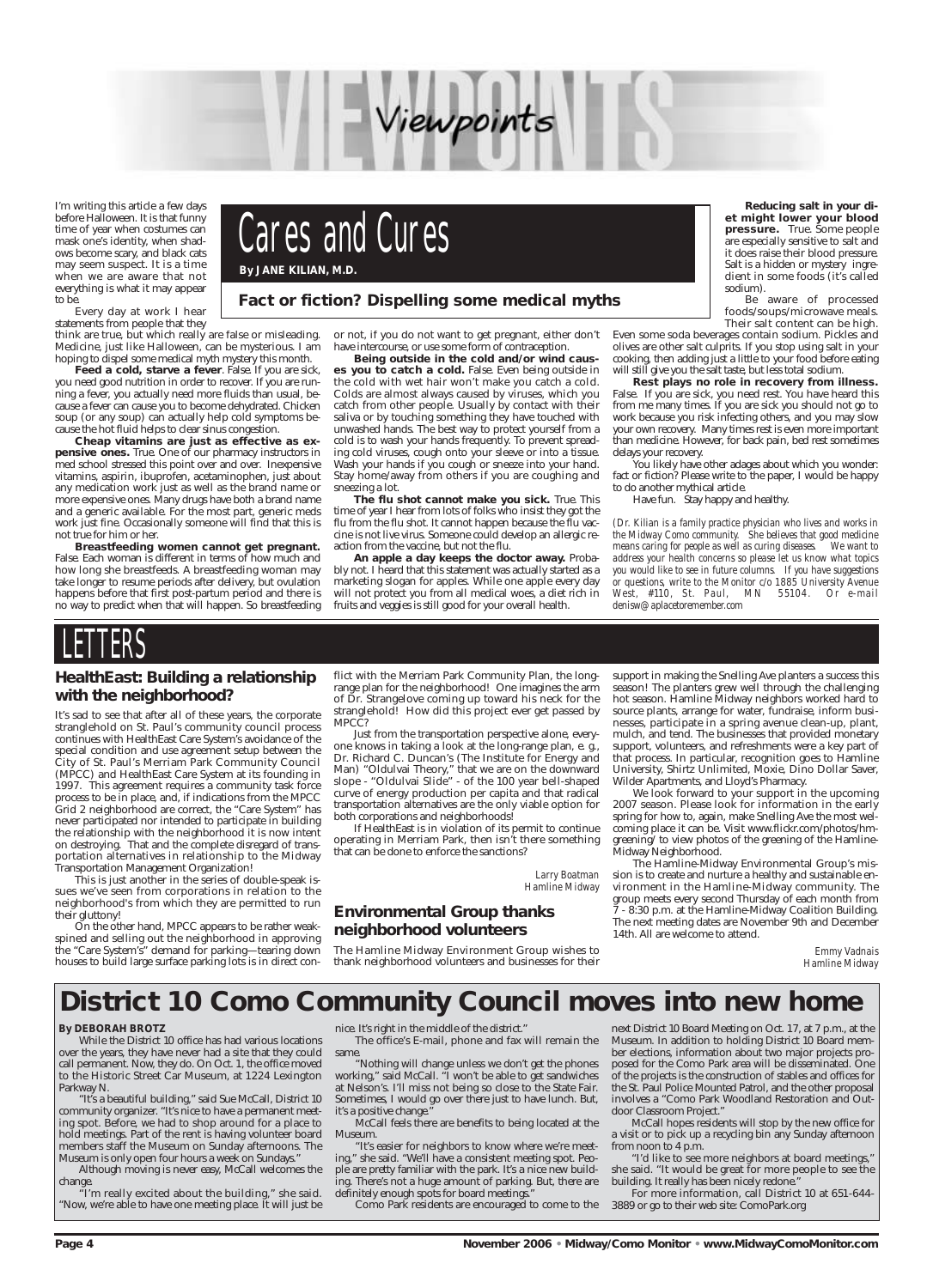

I'm writing this article a few days before Halloween. It is that funny time of year when costumes can mask one's identity, when shadows become scary, and black cats may seem suspect. It is a time when we are aware that not everything is what it may appear to be.

Every day at work I hear

statements from people that they think are true, but which really are false or misleading. Medicine, just like Halloween, can be mysterious. I am

hoping to dispel some medical myth mystery this month. Feed a cold, starve a fever. False. If you are sick, you need good nutrition in order to recover. If you are running a fever, you actually need more fluids than usual, because a fever can cause you to become dehydrated. Chicken soup (or any soup) can actually help cold symptoms because the hot fluid helps to clear sinus congestion.

**Cheap vitamins are just as effective as expensive ones.** True. One of our pharmacy instructors in med school stressed this point over and over. Inexpensive vitamins, aspirin, ibuprofen, acetaminophen, just about any medication work just as well as the brand name or more expensive ones. Many drugs have both a brand name and a generic available. For the most part, generic meds work just fine. Occasionally someone will find that this is not true for him or her.

**Breastfeeding women cannot get pregnant.** False. Each woman is different in terms of how much and how long she breastfeeds. A breastfeeding woman may take longer to resume periods after delivery, but ovulation happens before that first post-partum period and there is no way to predict when that will happen. So breastfeeding or not, if you do not want to get pregnant, either don't have intercourse, or use some form of contraception.

**Being outside in the cold and/or wind causes you to catch a cold.** False. Even being outside in the cold with wet hair won't make you catch a cold. Colds are almost always caused by viruses, which you catch from other people. Usually by contact with their saliva or by touching something they have touched with unwashed hands. The best way to protect yourself from a cold is to wash your hands frequently. To prevent spreading cold viruses, cough onto your sleeve or into a tissue. Wash your hands if you cough or sneeze into your hand. Stay home/away from others if you are coughing and sneezing a lot.

**The flu shot cannot make you sick.** True. This time of year I hear from lots of folks who insist they got the flu from the flu shot. It cannot happen because the flu vaccine is not live virus. Someone could develop an allergic reaction from the vaccine, but not the flu.

**An apple a day keeps the doctor away.** Probably not. I heard that this statement was actually started as a marketing slogan for apples. While one apple every day will not protect you from all medical woes, a diet rich in fruits and veggies is still good for your overall health.

**Reducing salt in your diet might lower your blood pressure.** True. Some people are especially sensitive to salt and it does raise their blood pressure. Salt is a hidden or mystery ingredient in some foods (it's called sodium).

Be aware of processed foods/soups/microwave meals. Their salt content can be high.

Even some soda beverages contain sodium. Pickles and olives are other salt culprits. If you stop using salt in your cooking, then adding just a little to your food before eating will still give you the salt taste, but less total sodium.

**Rest plays no role in recovery from illness.** False. If you are sick, you need rest. You have heard this from me many times. If you are sick you should not go to work because you risk infecting others, and you may slow your own recovery. Many times rest is even more important than medicine. However, for back pain, bed rest sometimes delays your recovery.

You likely have other adages about which you wonder: fact or fiction? Please write to the paper, I would be happy to do another mythical article.

Have fun. Stay happy and healthy.

*(Dr. Kilian is a family practice physician who lives and works in the Midway Como community. She believes that good medicine means caring for people as well as curing diseases. We want to address your health concerns so please let us know what topics you would like to see in future columns. If you have suggestions or questions, write to the Monitor c/o 1885 University Avenue West, #110, St. Paul, MN 55104. Or e-mail denisw@aplacetoremember.com*

# **LETTERS**

The office's E-mail, phone and fax will remain the same

"Nothing will change unless we don't get the phones working," said McCall. "I won't be able to get sandwiches at Nelson's. I'll miss not being so close to the State Fair. Sometimes, I would go over there just to have lunch. But, it's a positive change.

**Page 4 November 2006 • Midway/Como Monitor • www.MidwayComoMonitor.com** 

### **Fact or fiction? Dispelling some medical myths**

Cares and Cures **By JANE KILIAN, M.D.**

> "It's easier for neighbors to know where we're meeting," she said. "We'll have a consistent meeting spot. People are pretty familiar with the park. It's a nice new building. There's not a huge amount of parking. But, there are definitely enough spots for board meetings.

#### **HealthEast: Building a relationship with the neighborhood?**

It's sad to see that after all of these years, the corporate stranglehold on St. Paul's community council process continues with HealthEast Care System's avoidance of the special condition and use agreement setup between the City of St. Paul's Merriam Park Community Council (MPCC) and HealthEast Care System at its founding in 1997. This agreement requires a community task force process to be in place, and, if indications from the MPCC Grid 2 neighborhood are correct, the "Care System" has never participated nor intended to participate in building the relationship with the neighborhood it is now intent on destroying. That and the complete disregard of transportation alternatives in relationship to the Midway Transportation Management Organization!

This is just another in the series of double-speak issues we've seen from corporations in relation to the neighborhood's from which they are permitted to run their gluttony!

On the other hand, MPCC appears to be rather weakspined and selling out the neighborhood in approving the "Care System's" demand for parking—tearing down houses to build large surface parking lots is in direct conflict with the Merriam Park Community Plan, the longrange plan for the neighborhood! One imagines the arm of Dr. Strangelove coming up toward his neck for the stranglehold! How did this project ever get passed by MPCC?

Just from the transportation perspective alone, everyone knows in taking a look at the long-range plan, e. g., Dr. Richard C. Duncan's (The Institute for Energy and Man) "Oldulvai Theory," that we are on the downward slope - "Oldulvai Slide" - of the 100 year bell-shaped curve of energy production per capita and that radical transportation alternatives are the only viable option for both corporations and neighborhoods!

If HealthEast is in violation of its permit to continue operating in Merriam Park, then isn't there something that can be done to enforce the sanctions?

> *Larry Boatman Hamline Midway*

#### **Environmental Group thanks neighborhood volunteers**

The Hamline Midway Environment Group wishes to thank neighborhood volunteers and businesses for their

support in making the Snelling Ave planters a success this season! The planters grew well through the challenging hot season. Hamline Midway neighbors worked hard to source plants, arrange for water, fundraise, inform businesses, participate in a spring avenue clean-up, plant, mulch, and tend. The businesses that provided monetary support, volunteers, and refreshments were a key part of that process. In particular, recognition goes to Hamline University, Shirtz Unlimited, Moxie, Dino Dollar Saver, Wilder Apartments, and Lloyd's Pharmacy.

We look forward to your support in the upcoming 2007 season. Please look for information in the early spring for how to, again, make Snelling Ave the most welcoming place it can be. Visit www.flickr.com/photos/hmgreening/ to view photos of the greening of the Hamline-Midway Neighborhood.

The Hamline-Midway Environmental Group's mission is to create and nurture a healthy and sustainable environment in the Hamline-Midway community. The group meets every second Thursday of each month from 7 - 8:30 p.m. at the Hamline-Midway Coalition Building. The next meeting dates are November 9th and December 14th. All are welcome to attend.

> *Emmy Vadnais Hamline Midway*

#### **By DEBORAH BROTZ**

While the District 10 office has had various locations over the years, they have never had a site that they could call permanent. Now, they do. On Oct. 1, the office moved to the Historic Street Car Museum, at 1224 Lexington Parkway N.

"It's a beautiful building," said Sue McCall, District 10 community organizer. "It's nice to have a permanent meeting spot. Before, we had to shop around for a place to hold meetings. Part of the rent is having volunteer board members staff the Museum on Sunday afternoons. The Museum is only open four hours a week on Sundays."

Although moving is never easy, McCall welcomes the change.

"I'm really excited about the building," she said. "Now, we're able to have one meeting place. It will just be nice. It's right in the middle of the district."

McCall feels there are benefits to being located at the Museum.

Como Park residents are encouraged to come to the

next District 10 Board Meeting on Oct. 17, at 7 p.m., at the Museum. In addition to holding District 10 Board member elections, information about two major projects proposed for the Como Park area will be disseminated. One of the projects is the construction of stables and offices for the St. Paul Police Mounted Patrol, and the other proposal involves a "Como Park Woodland Restoration and Outdoor Classroom Project."

McCall hopes residents will stop by the new office for a visit or to pick up a recycling bin any Sunday afternoon from noon to 4 p.m.

"I'd like to see more neighbors at board meetings," she said. "It would be great for more people to see the building. It really has been nicely redone."

For more information, call District 10 at 651-644- 3889 or go to their web site: ComoPark.org

# **District 10 Como Community Council moves into new home**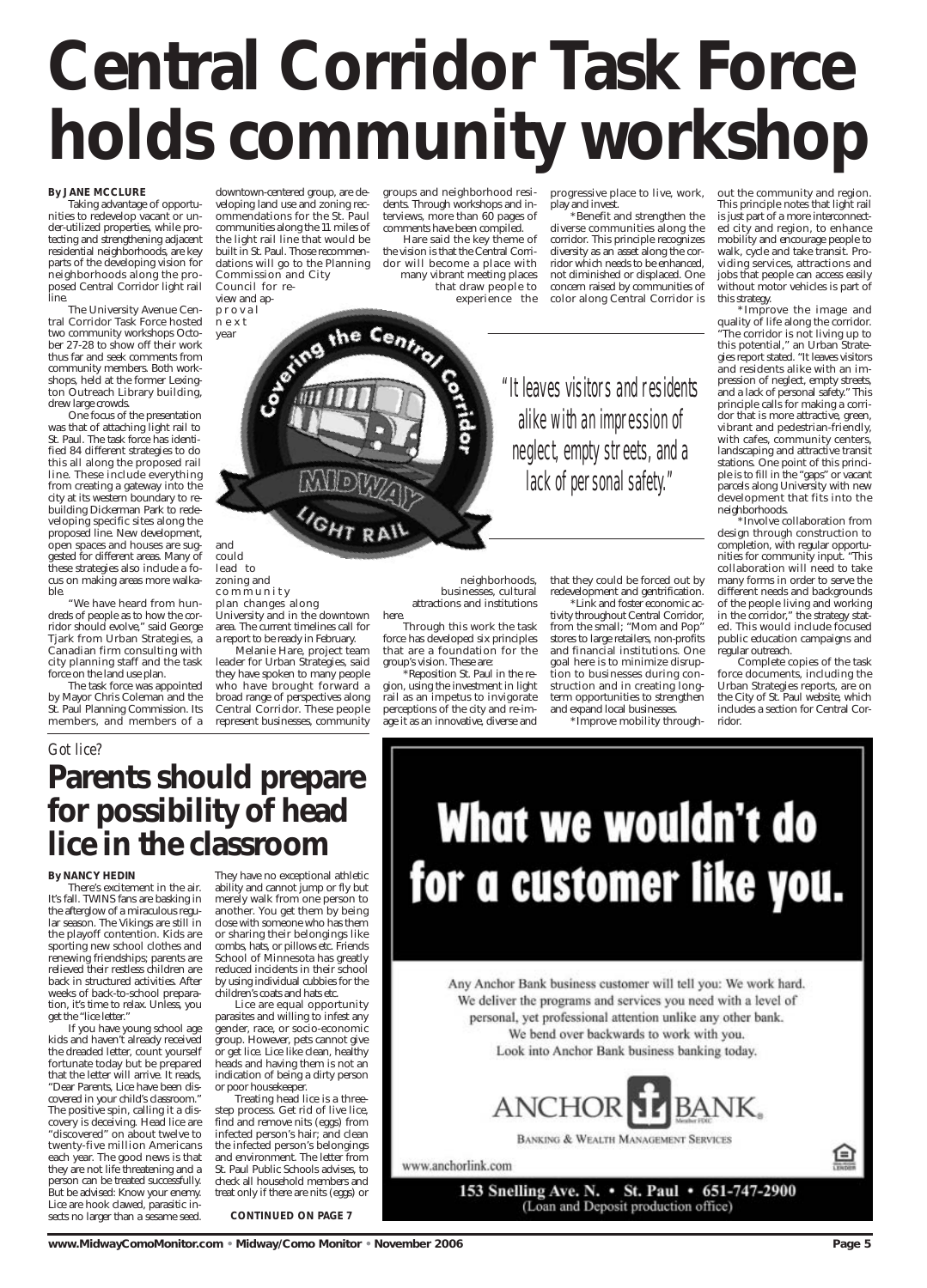# **Central Corridor Task Force holds community workshop**

#### **By JANE MCCLURE**

Taking advantage of opportunities to redevelop vacant or under-utilized properties, while protecting and strengthening adjacent residential neighborhoods, are key parts of the developing vision for neighborhoods along the proposed Central Corridor light rail line.

The University Avenue Central Corridor Task Force hosted two community workshops October 27-28 to show off their work thus far and seek comments from community members. Both workshops, held at the former Lexington Outreach Library building, drew large crowds.

One focus of the presentation was that of attaching light rail to St. Paul. The task force has identified 84 different strategies to do this all along the proposed rail line. These include everything from creating a gateway into the city at its western boundary to rebuilding Dickerman Park to redeveloping specific sites along the proposed line. New development, open spaces and houses are suggested for different areas. Many of these strategies also include a focus on making areas more walkable.

"We have heard from hundreds of people as to how the corridor should evolve," said George Tjark from Urban Strategies, a Canadian firm consulting with city planning staff and the task force on the land use plan.

The task force was appointed by Mayor Chris Coleman and the St. Paul Planning Commission. Its members, and members of a

downtown-centered group, are developing land use and zoning recommendations for the St. Paul communities along the 11 miles of the light rail line that would be built in St. Paul. Those recommendations will go to the Planning Commission and City Council for re-

view and app r oval next year

and could lead to zoning and community plan changes along

University and in the downtown area. The current timelines call for a report to be ready in February. Melanie Hare, project team leader for Urban Strategies, said they have spoken to many people who have brought forward a broad range of perspectives along Central Corridor. These people represent businesses, community

groups and neighborhood residents. Through workshops and interviews, more than 60 pages of comments have been compiled. Hare said the key theme of

the vision is that the Central Corridor will become a place with many vibrant meeting places that draw people to experience the

> neighborhoods, businesses, cultural attractions and institutions

here.

Through this work the task force has developed six principles that are a foundation for the

group's vision. These are:

\*Reposition St. Paul in the region, using the investment in light rail as an impetus to invigorate perceptions of the city and re-image it as an innovative, diverse and

progressive place to live, work, play and invest.

\*Benefit and strengthen the diverse communities along the corridor. This principle recognizes diversity as an asset along the corridor which needs to be enhanced, not diminished or displaced. One concern raised by communities of color along Central Corridor is

the Centrol "It leaves visitors and residents alike with an impression of neglect, empty streets, and a lack of personal safety."

> that they could be forced out by redevelopment and gentrification.

\*Link and foster economic activity throughout Central Corridor, from the small; "Mom and Pop" stores to large retailers, non-profits and financial institutions. One goal here is to minimize disruption to businesses during construction and in creating longterm opportunities to strengthen and expand local businesses.

\*Improve mobility through-

out the community and region. This principle notes that light rail is just part of a more interconnected city and region, to enhance mobility and encourage people to walk, cycle and take transit. Providing services, attractions and jobs that people can access easily without motor vehicles is part of this strategy.

\*Improve the image and quality of life along the corridor. "The corridor is not living up to this potential," an Urban Strategies report stated. "It leaves visitors and residents alike with an impression of neglect, empty streets, and a lack of personal safety." This principle calls for making a corridor that is more attractive, green, vibrant and pedestrian-friendly, with cafes, community centers, landscaping and attractive transit stations. One point of this principle is to fill in the "gaps" or vacant parcels along University with new development that fits into the neighborhoods.

\*Involve collaboration from design through construction to completion, with regular opportunities for community input. "This collaboration will need to take many forms in order to serve the different needs and backgrounds of the people living and working in the corridor," the strategy stated. This would include focused public education campaigns and regular outreach.

Complete copies of the task force documents, including the Urban Strategies reports, are on the City of St. Paul website, which includes a section for Central Corridor.

#### **By NANCY HEDIN**

There's excitement in the air. It's fall. TWINS fans are basking in the afterglow of a miraculous regular season. The Vikings are still in the playoff contention. Kids are sporting new school clothes and renewing friendships; parents are relieved their restless children are back in structured activities. After weeks of back-to-school prepara-

tion, it's time to relax. Unless, you get the "lice letter."

If you have young school age kids and haven't already received the dreaded letter, count yourself fortunate today but be prepared that the letter will arrive. It reads, "Dear Parents, Lice have been discovered in your child's classroom." The positive spin, calling it a discovery is deceiving. Head lice are "discovered" on about twelve to twenty-five million Americans each year. The good news is that they are not life threatening and a person can be treated successfully. But be advised: Know your enemy. Lice are hook clawed, parasitic insects no larger than a sesame seed.

They have no exceptional athletic ability and cannot jump or fly but merely walk from one person to another. You get them by being close with someone who has them or sharing their belongings like combs, hats, or pillows etc. Friends School of Minnesota has greatly reduced incidents in their school by using individual cubbies for the children's coats and hats etc.

Lice are equal opportunity parasites and willing to infest any gender, race, or socio-economic group. However, pets cannot give or get lice. Lice like clean, healthy heads and having them is not an indication of being a dirty person or poor housekeeper. Treating head lice is a threestep process. Get rid of live lice, find and remove nits (eggs) from infected person's hair; and clean the infected person's belongings and environment. The letter from St. Paul Public Schools advises, to check all household members and treat only if there are nits (eggs) or

# What we wouldn't do for a customer like you.

Any Anchor Bank business customer will tell you: We work hard. We deliver the programs and services you need with a level of

**CONTINUED ON PAGE 7**

personal, yet professional attention unlike any other bank. We bend over backwards to work with you. Look into Anchor Bank business banking today.



#### *Got lice?*

# **Parents should prepare for possibility of head lice in the classroom**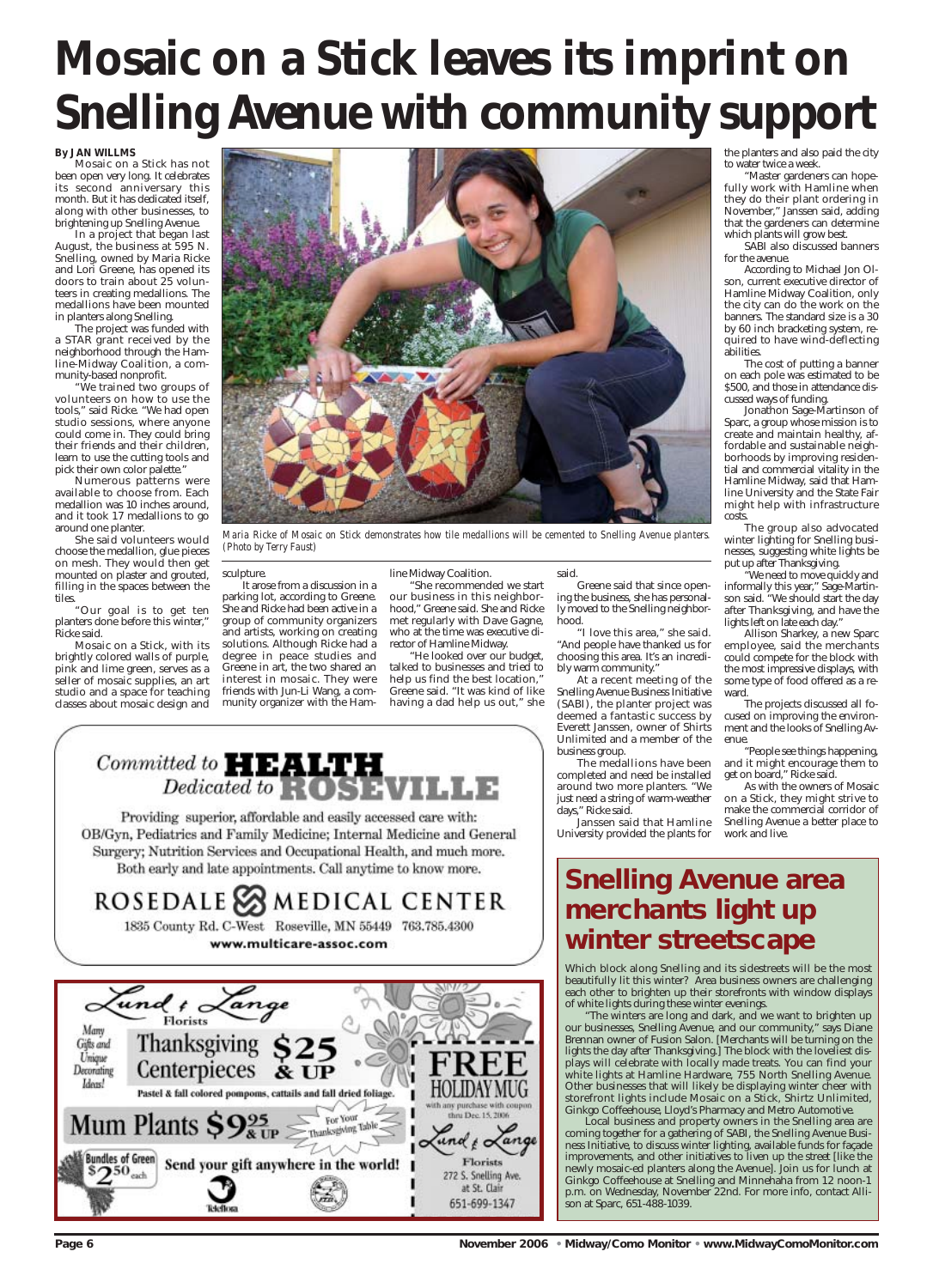#### **By JAN WILLMS**

Mosaic on a Stick has not been open very long. It celebrates its second anniversary this month. But it has dedicated itself, along with other businesses, to brightening up Snelling Avenue.

In a project that began last August, the business at 595 N. Snelling, owned by Maria Ricke and Lori Greene, has opened its doors to train about 25 volunteers in creating medallions. The medallions have been mounted in planters along Snelling.

"We trained two groups of volunteers on how to use the tools," said Ricke. "We had open studio sessions, where anyone could come in. They could bring their friends and their children, learn to use the cutting tools and pick their own color palette."

The project was funded with a STAR grant received by the neighborhood through the Hamline-Midway Coalition, a community-based nonprofit.

Numerous patterns were available to choose from. Each medallion was 10 inches around, and it took 17 medallions to go around one planter.

She said volunteers would choose the medallion, glue pieces on mesh. They would then get mounted on plaster and grouted, filling in the spaces between the tiles.

"Our goal is to get ten planters done before this winter," Ricke said.

Mosaic on a Stick, with its brightly colored walls of purple, pink and lime green, serves as a seller of mosaic supplies, an art studio and a space for teaching classes about mosaic design and

#### sculpture.

It arose from a discussion in a parking lot, according to Greene. She and Ricke had been active in a group of community organizers and artists, working on creating solutions. Although Ricke had a degree in peace studies and Greene in art, the two shared an interest in mosaic. They were friends with Jun-Li Wang, a community organizer with the Ham-

#### line Midway Coalition.

"She recommended we start our business in this neighborhood," Greene said. She and Ricke met regularly with Dave Gagne, who at the time was executive director of Hamline Midway.

"He looked over our budget, talked to businesses and tried to help us find the best location," Greene said. "It was kind of like having a dad help us out," she

#### said.

Greene said that since opening the business, she has personally moved to the Snelling neighborhood.

"I love this area," she said. "And people have thanked us for choosing this area. It's an incredibly warm community."

At a recent meeting of the Snelling Avenue Business Initiative (SABI), the planter project was deemed a fantastic success by Everett Janssen, owner of Shirts Unlimited and a member of the business group.

The medallions have been completed and need be installed around two more planters. "We just need a string of warm-weather days," Ricke said.

Janssen said that Hamline University provided the plants for the planters and also paid the city to water twice a week.

"Master gardeners can hopefully work with Hamline when they do their plant ordering in November," Janssen said, adding that the gardeners can determine which plants will grow best.

SABI also discussed banners for the avenue.

According to Michael Jon Olson, current executive director of Hamline Midway Coalition, only the city can do the work on the banners. The standard size is a 30 by 60 inch bracketing system, required to have wind-deflecting abilities.

The cost of putting a banner on each pole was estimated to be \$500, and those in attendance discussed ways of funding.

Jonathon Sage-Martinson of Sparc, a group whose mission is to create and maintain healthy, affordable and sustainable neighborhoods by improving residential and commercial vitality in the Hamline Midway, said that Hamline University and the State Fair might help with infrastructure costs.

The group also advocated winter lighting for Snelling businesses, suggesting white lights be put up after Thanksgiving.

"We need to move quickly and informally this year," Sage-Martinson said. "We should start the day after Thanksgiving, and have the lights left on late each day."

Allison Sharkey, a new Sparc employee, said the merchants could compete for the block with the most impressive displays, with some type of food offered as a reward.

The projects discussed all focused on improving the environment and the looks of Snelling Avenue.

"People see things happening, and it might encourage them to get on board," Ricke said.

As with the owners of Mosaic on a Stick, they might strive to make the commercial corridor of Snelling Avenue a better place to work and live.

**Page 6 November 2006 • Midway/Como Monitor • www.MidwayComoMonitor.com** 

# **Snelling Avenue area merchants light up winter streetscape**

Which block along Snelling and its sidestreets will be the most beautifully lit this winter? Area business owners are challenging each other to brighten up their storefronts with window displays of white lights during these winter evenings.

# $Committed to **HEALTH**\n\nDedicated to **ROSEVILLE**$

Providing superior, affordable and easily accessed care with: OB/Gyn, Pediatrics and Family Medicine; Internal Medicine and General Surgery; Nutrition Services and Occupational Health, and much more. Both early and late appointments. Call anytime to know more.







"The winters are long and dark, and we want to brighten up our businesses, Snelling Avenue, and our community," says Diane Brennan owner of Fusion Salon. [Merchants will be turning on the lights the day after Thanksgiving.] The block with the loveliest displays will celebrate with locally made treats. You can find your white lights at Hamline Hardware, 755 North Snelling Avenue. Other businesses that will likely be displaying winter cheer with storefront lights include Mosaic on a Stick, Shirtz Unlimited, Ginkgo Coffeehouse, Lloyd's Pharmacy and Metro Automotive.

Local business and property owners in the Snelling area are coming together for a gathering of SABI, the Snelling Avenue Business Initiative, to discuss winter lighting, available funds for façade improvements, and other initiatives to liven up the street [like the newly mosaic-ed planters along the Avenue]. Join us for lunch at Ginkgo Coffeehouse at Snelling and Minnehaha from 12 noon-1 p.m. on Wednesday, November 22nd. For more info, contact Allison at Sparc, 651-488-1039.

# **Mosaic on a Stick leaves its imprint on Snelling Avenue with community support**



*Maria Ricke of Mosaic on Stick demonstrates how tile medallions will be cemented to Snelling Avenue planters. (Photo by Terry Faust)*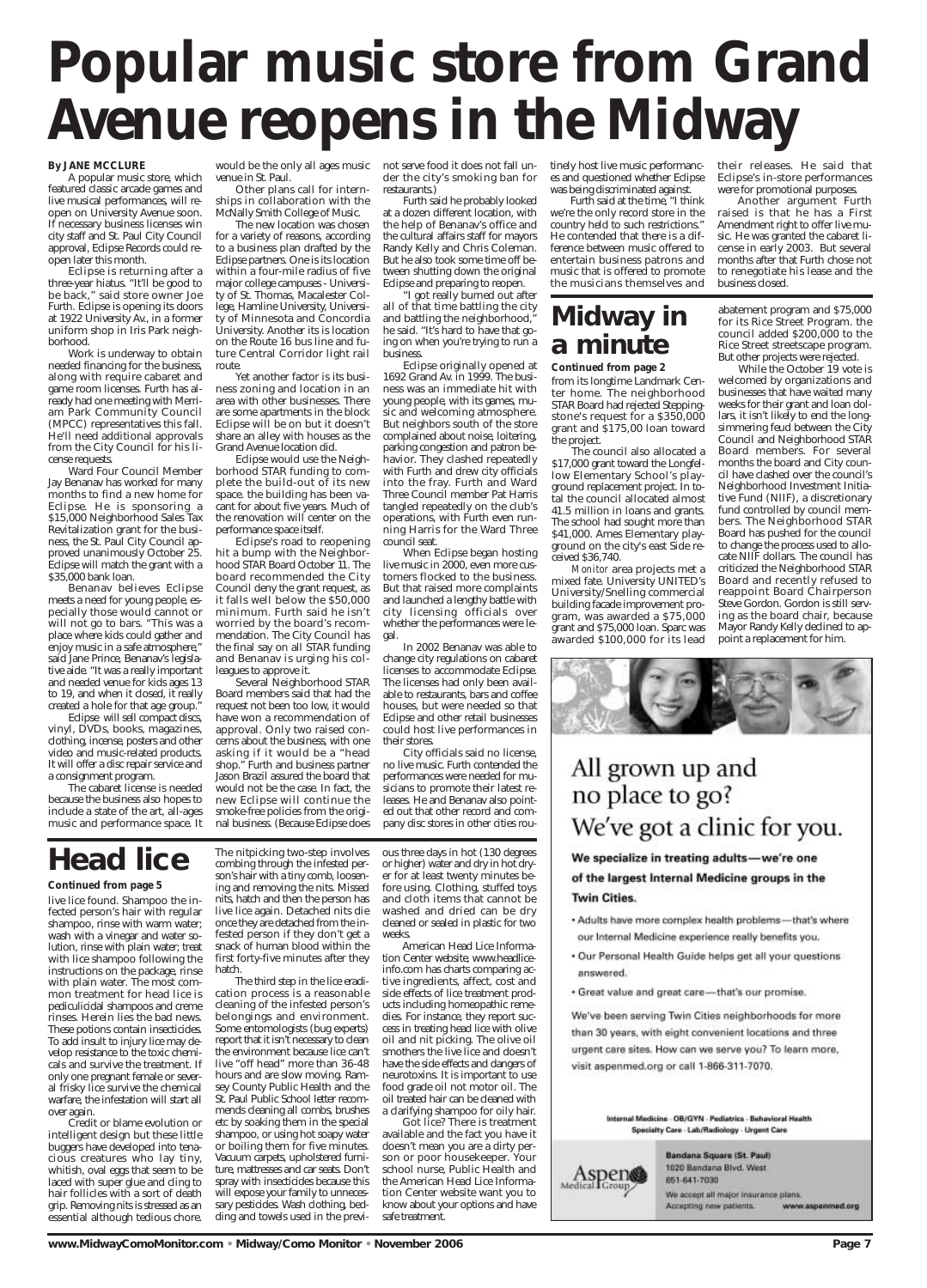#### **By JANE MCCLURE**

A popular music store, which featured classic arcade games and live musical performances, will reopen on University Avenue soon. If necessary business licenses win city staff and St. Paul City Council approval, Eclipse Records could reopen later this month.

Eclipse is returning after a three-year hiatus. "It'll be good to be back," said store owner Joe Furth. Eclipse is opening its doors at 1922 University Av., in a former uniform shop in Iris Park neighborhood.

Ward Four Council Member Jay Benanav has worked for many months to find a new home for Eclipse. He is sponsoring a \$15,000 Neighborhood Sales Tax Revitalization grant for the business, the St. Paul City Council approved unanimously October 25. Eclipse will match the grant with a \$35,000 bank loan.

Work is underway to obtain needed financing for the business, along with require cabaret and game room licenses. Furth has already had one meeting with Merriam Park Community Council (MPCC) representatives this fall. He'll need additional approvals from the City Council for his license requests.

Benanav believes Eclipse meets a need for young people, especially those would cannot or will not go to bars. "This was a place where kids could gather and enjoy music in a safe atmosphere," said Jane Prince, Benanav's legislative aide. "It was a really important and needed venue for kids ages 13 to 19, and when it closed, it really created a hole for that age group."

Eclipse will sell compact discs, vinyl, DVDs, books, magazines, clothing, incense, posters and other video and music-related products. It will offer a disc repair service and a consignment program.

The cabaret license is needed because the business also hopes to include a state of the art, all-ages music and performance space. It

would be the only all ages music venue in St. Paul.

Other plans call for internships in collaboration with the McNally Smith College of Music.

The new location was chosen for a variety of reasons, according to a business plan drafted by the Eclipse partners. One is its location within a four-mile radius of five major college campuses - University of St. Thomas, Macalester College, Hamline University, University of Minnesota and Concordia University. Another its is location on the Route 16 bus line and future Central Corridor light rail route.

Yet another factor is its business zoning and location in an area with other businesses. There are some apartments in the block Eclipse will be on but it doesn't share an alley with houses as the Grand Avenue location did.

Eclipse would use the Neighborhood STAR funding to complete the build-out of its new space. the building has been vacant for about five years. Much of the renovation will center on the performance space itself.

Eclipse's road to reopening hit a bump with the Neighborhood STAR Board October 11. The board recommended the City Council deny the grant request, as it falls well below the \$50,000 minimum. Furth said he isn't worried by the board's recommendation. The City Council has the final say on all STAR funding and Benanav is urging his colleagues to approve it.

Several Neighborhood STAR Board members said that had the request not been too low, it would have won a recommendation of approval. Only two raised concerns about the business, with one Jason Brazil assured the board that

asking if it would be a "head shop." Furth and business partner would not be the case. In fact, the new Eclipse will continue the smoke-free policies from the original business. (Because Eclipse does

not serve food it does not fall under the city's smoking ban for restaurants.)

Furth said he probably looked at a dozen different location, with the help of Benanav's office and the cultural affairs staff for mayors Randy Kelly and Chris Coleman. But he also took some time off between shutting down the original Eclipse and preparing to reopen.

"I got really burned out after all of that time battling the city and battling the neighborhood," he said. "It's hard to have that going on when you're trying to run a business.

Eclipse originally opened at 1692 Grand Av. in 1999. The business was an immediate hit with young people, with its games, music and welcoming atmosphere. But neighbors south of the store complained about noise, loitering, parking congestion and patron behavior. They clashed repeatedly with Furth and drew city officials into the fray. Furth and Ward Three Council member Pat Harris tangled repeatedly on the club's operations, with Furth even running Harris for the Ward Three council seat.

When Eclipse began hosting live music in 2000, even more customers flocked to the business. But that raised more complaints and launched a lengthy battle with city licensing officials over whether the performances were legal.

In 2002 Benanav was able to change city regulations on cabaret licenses to accommodate Eclipse. The licenses had only been available to restaurants, bars and coffee houses, but were needed so that Eclipse and other retail businesses could host live performances in their stores.

City officials said no license, no live music. Furth contended the performances were needed for musicians to promote their latest releases. He and Benanav also pointed out that other record and company disc stores in other cities rou-

tinely host live music performances and questioned whether Eclipse was being discriminated against.

Furth said at the time, "I think we're the only record store in the country held to such restrictions." He contended that there is a difference between music offered to entertain business patrons and music that is offered to promote the musicians themselves and

their releases. He said that Eclipse's in-store performances were for promotional purposes.

Another argument Furth raised is that he has a First Amendment right to offer live music. He was granted the cabaret license in early 2003. But several months after that Furth chose not to renegotiate his lease and the business closed.

## **Midway in a minute**

#### **Continued from page 2**

from its longtime Landmark Center home. The neighborhood STAR Board had rejected Steppingstone's request for a \$350,000 grant and \$175,00 loan toward the project.

The council also allocated a \$17,000 grant toward the Longfellow Elementary School's playground replacement project. In total the council allocated almost 41.5 million in loans and grants. The school had sought more than \$41,000. Ames Elementary playground on the city's east Side received \$36,740.

*Monitor* area projects met a mixed fate. University UNITED's University/Snelling commercial building facade improvement program, was awarded a \$75,000 grant and \$75,000 loan. Sparc was awarded \$100,000 for its lead

abatement program and \$75,000 for its Rice Street Program. the council added \$200,000 to the Rice Street streetscape program. But other projects were rejected.

While the October 19 vote is welcomed by organizations and businesses that have waited many weeks for their grant and loan dollars, it isn't likely to end the longsimmering feud between the City Council and Neighborhood STAR Board members. For several months the board and City council have clashed over the council's Neighborhood Investment Initiative Fund (NIIF), a discretionary fund controlled by council members. The Neighborhood STAR Board has pushed for the council to change the process used to allocate NIIF dollars. The council has criticized the Neighborhood STAR Board and recently refused to reappoint Board Chairperson Steve Gordon. Gordon is still serving as the board chair, because Mayor Randy Kelly declined to appoint a replacement for him.



## All grown up and no place to go? We've got a clinic for you.

#### We specialize in treating adults-we're one of the largest Internal Medicine groups in the **Twin Cities.**

- . Adults have more complex health problems-that's where our Internal Medicine experience really benefits you.
- . Our Personal Health Guide helps get all your questions answered.
- · Great value and great care-that's our promise.
	-

# **Popular music store from Grand Avenue reopens in the Midway**

# **Head lice**

#### **Continued from page 5**

live lice found. Shampoo the infected person's hair with regular shampoo, rinse with warm water; wash with a vinegar and water solution, rinse with plain water; treat with lice shampoo following the instructions on the package, rinse with plain water. The most common treatment for head lice is pediculicidal shampoos and creme rinses. Herein lies the bad news. These potions contain insecticides. To add insult to injury lice may develop resistance to the toxic chemicals and survive the treatment. If only one pregnant female or several frisky lice survive the chemical warfare, the infestation will start all over again. Credit or blame evolution or intelligent design but these little buggers have developed into tenacious creatures who lay tiny, whitish, oval eggs that seem to be laced with super glue and cling to hair follicles with a sort of death grip. Removing nits is stressed as an essential although tedious chore.

The nitpicking two-step involves combing through the infested person's hair with a tiny comb, loosening and removing the nits. Missed nits, hatch and then the person has live lice again. Detached nits die once they are detached from the infested person if they don't get a snack of human blood within the first forty-five minutes after they hatch.

The third step in the lice eradication process is a reasonable cleaning of the infested person's belongings and environment. Some entomologists (bug experts) report that it isn't necessary to clean the environment because lice can't live "off head" more than 36-48 hours and are slow moving. Ramsey County Public Health and the St. Paul Public School letter recommends cleaning all combs, brushes etc by soaking them in the special shampoo, or using hot soapy water or boiling them for five minutes. Vacuum carpets, upholstered furniture, mattresses and car seats. Don't spray with insecticides because this will expose your family to unnecessary pesticides. Wash clothing, bedding and towels used in the previ-

We've been serving Twin Cities neighborhoods for more than 30 years, with eight convenient locations and three urgent care sites. How can we serve you? To learn more, visit aspenmed.org or call 1-866-311-7070.

#### Internal Medicine - OB/GYN - Pediatrics - Behavioral Health Specialty Care - Lab/Radiology - Urgent Care



Bandana Square (St. Paul) 1020 Bandana Blvd. West 651-641-7030 We accept all major insurance plans. Accepting new patients. www.asperimed.org

ous three days in hot (130 degrees or higher) water and dry in hot dryer for at least twenty minutes before using. Clothing, stuffed toys and cloth items that cannot be washed and dried can be dry cleaned or sealed in plastic for two weeks.

American Head Lice Information Center website, www.headliceinfo.com has charts comparing active ingredients, affect, cost and side effects of lice treatment products including homeopathic remedies. For instance, they report success in treating head lice with olive oil and nit picking. The olive oil smothers the live lice and doesn't have the side effects and dangers of neurotoxins. It is important to use food grade oil not motor oil. The oil treated hair can be cleaned with a clarifying shampoo for oily hair. Got lice? There is treatment available and the fact you have it doesn't mean you are a dirty person or poor housekeeper. Your school nurse, Public Health and the American Head Lice Information Center website want you to know about your options and have safe treatment.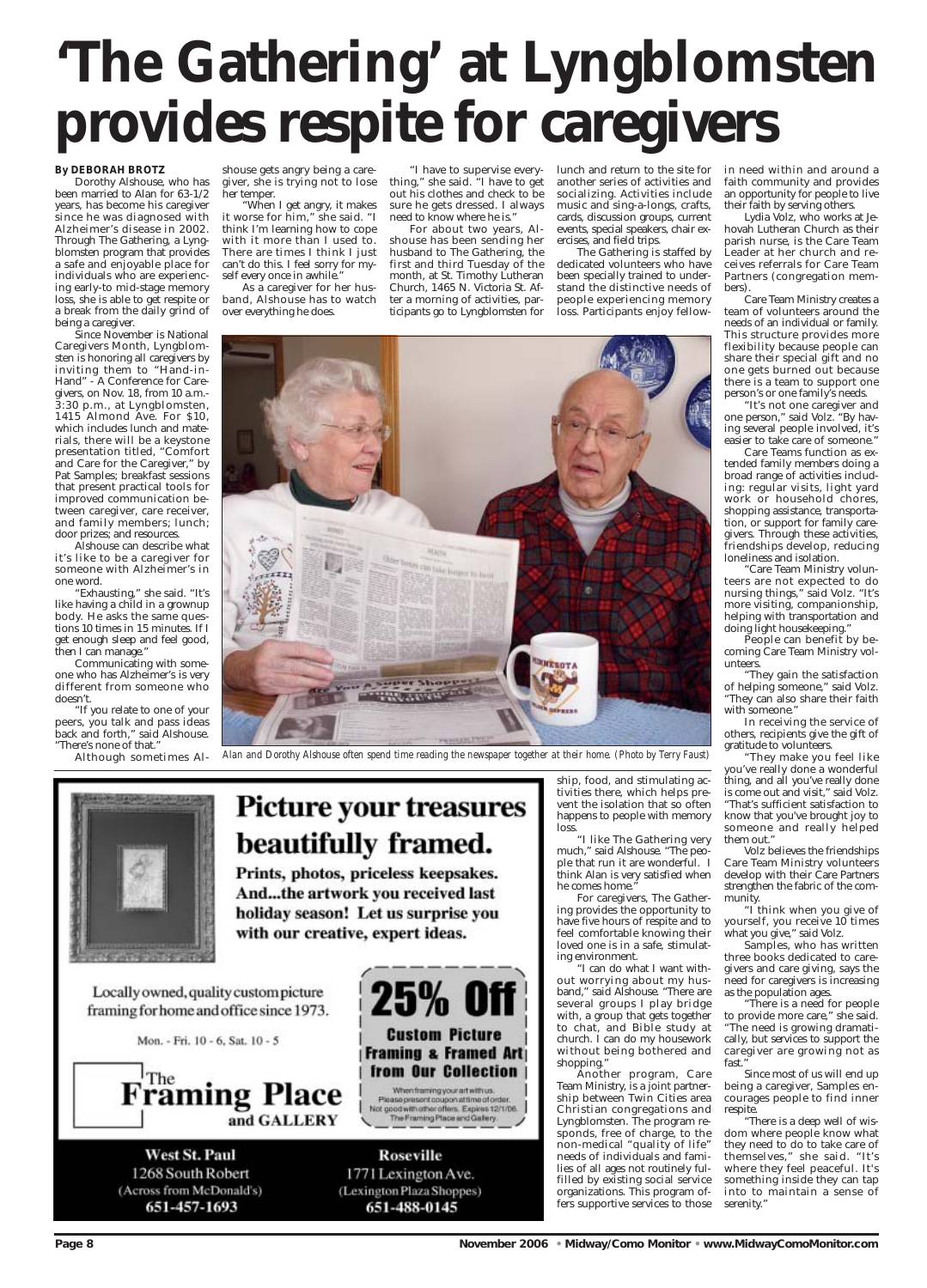#### **By DEBORAH BROTZ**

Dorothy Alshouse, who has been married to Alan for 63-1/2 years, has become his caregiver since he was diagnosed with Alzheimer's disease in 2002. Through The Gathering, a Lyngblomsten program that provides a safe and enjoyable place for individuals who are experiencing early-to mid-stage memory loss, she is able to get respite or a break from the daily grind of being a caregiver.

Since November is National Caregivers Month, Lyngblomsten is honoring all caregivers by inviting them to "Hand-in-Hand" - A Conference for Caregivers, on Nov. 18, from 10 a.m.- 3:30 p.m., at Lyngblomsten, 1415 Almond Ave. For \$10, which includes lunch and materials, there will be a keystone presentation titled, "Comfort and Care for the Caregiver," by Pat Samples; breakfast sessions that present practical tools for improved communication between caregiver, care receiver, and family members; lunch; door prizes; and resources.

Alshouse can describe what it's like to be a caregiver for someone with Alzheimer's in one word.

"Exhausting," she said. "It's like having a child in a grownup body. He asks the same questions 10 times in 15 minutes. If I get enough sleep and feel good, then I can manage."

Communicating with someone who has Alzheimer's is very different from someone who doesn't.

"If you relate to one of your peers, you talk and pass ideas back and forth," said Alshouse. "There's none of that."

Although sometimes Al-

shouse gets angry being a caregiver, she is trying not to lose her temper.

"When I get angry, it makes it worse for him," she said. "I think I'm learning how to cope with it more than I used to. There are times I think I just can't do this. I feel sorry for myself every once in awhile."

As a caregiver for her husband, Alshouse has to watch over everything he does.

"I have to supervise everything," she said. "I have to get out his clothes and check to be sure he gets dressed. I always need to know where he is."

For about two years, Alshouse has been sending her husband to The Gathering, the first and third Tuesday of the month, at St. Timothy Lutheran Church, 1465 N. Victoria St. After a morning of activities, participants go to Lyngblomsten for

lunch and return to the site for another series of activities and socializing. Activities include music and sing-a-longs, crafts, cards, discussion groups, current events, special speakers, chair exercises, and field trips.

> 'Care Team Ministry volunteers are not expected to do nursing things," said Volz. "It's more visiting, companionship, helping with transportation and doing light housekeeping."

> "They gain the satisfaction of helping someone," said Volz. "They can also share their faith with someone.'

The Gathering is staffed by dedicated volunteers who have been specially trained to understand the distinctive needs of people experiencing memory loss. Participants enjoy fellow-

ship, food, and stimulating activities there, which helps prevent the isolation that so often happens to people with memory loss.

"I like The Gathering very much," said Alshouse. "The people that run it are wonderful. I think Alan is very satisfied when he comes home."

For caregivers, The Gathering provides the opportunity to have five hours of respite and to feel comfortable knowing their loved one is in a safe, stimulating environment.

> here is a need for people to provide more care," she said. "The need is growing dramatically, but services to support the caregiver are growing not as fast." Since most of us will end up being a caregiver, Samples encourages people to find inner respite. "There is a deep well of wisdom where people know what they need to do to take care of themselves," she said. "It's where they feel peaceful. It's something inside they can tap into to maintain a sense of serenity."

"I can do what I want without worrying about my husband," said Alshouse. "There are several groups I play bridge



in need within and around a faith community and provides an opportunity for people to live their faith by serving others.

Lydia Volz, who works at Jehovah Lutheran Church as their parish nurse, is the Care Team Leader at her church and receives referrals for Care Team Partners (congregation members).

Care Team Ministry creates a team of volunteers around the needs of an individual or family. This structure provides more flexibility because people can share their special gift and no one gets burned out because there is a team to support one person's or one family's needs.

"It's not one caregiver and one person," said Volz. "By having several people involved, it's easier to take care of someone."

Care Teams function as extended family members doing a broad range of activities including: regular visits, light yard work or household chores, shopping assistance, transportation, or support for family caregivers. Through these activities, friendships develop, reducing loneliness and isolation.

People can benefit by becoming Care Team Ministry volunteers.

In receiving the service of others, recipients give the gift of gratitude to volunteers.

"They make you feel like you've really done a wonderful thing, and all you've really done is come out and visit," said Volz. "That's sufficient satisfaction to know that you've brought joy to someone and really helped them out."

Volz believes the friendships Care Team Ministry volunteers develop with their Care Partners strengthen the fabric of the community.

"I think when you give of yourself, you receive 10 times what you give," said Volz.

Samples, who has written three books dedicated to caregivers and care giving, says the need for caregivers is increasing as the population ages.

**Page 8 November 2006 • Midway/Como Monitor • www.MidwayComoMonitor.com** 

# **'The Gathering' at Lyngblomsten provides respite for caregivers**



*Alan and Dorothy Alshouse often spend time reading the newspaper together at their home. (Photo by Terry Faust)*



**Picture your treasures** beautifully framed.

Prints, photos, priceless keepsakes. And...the artwork you received last holiday season! Let us surprise you with our creative, expert ideas.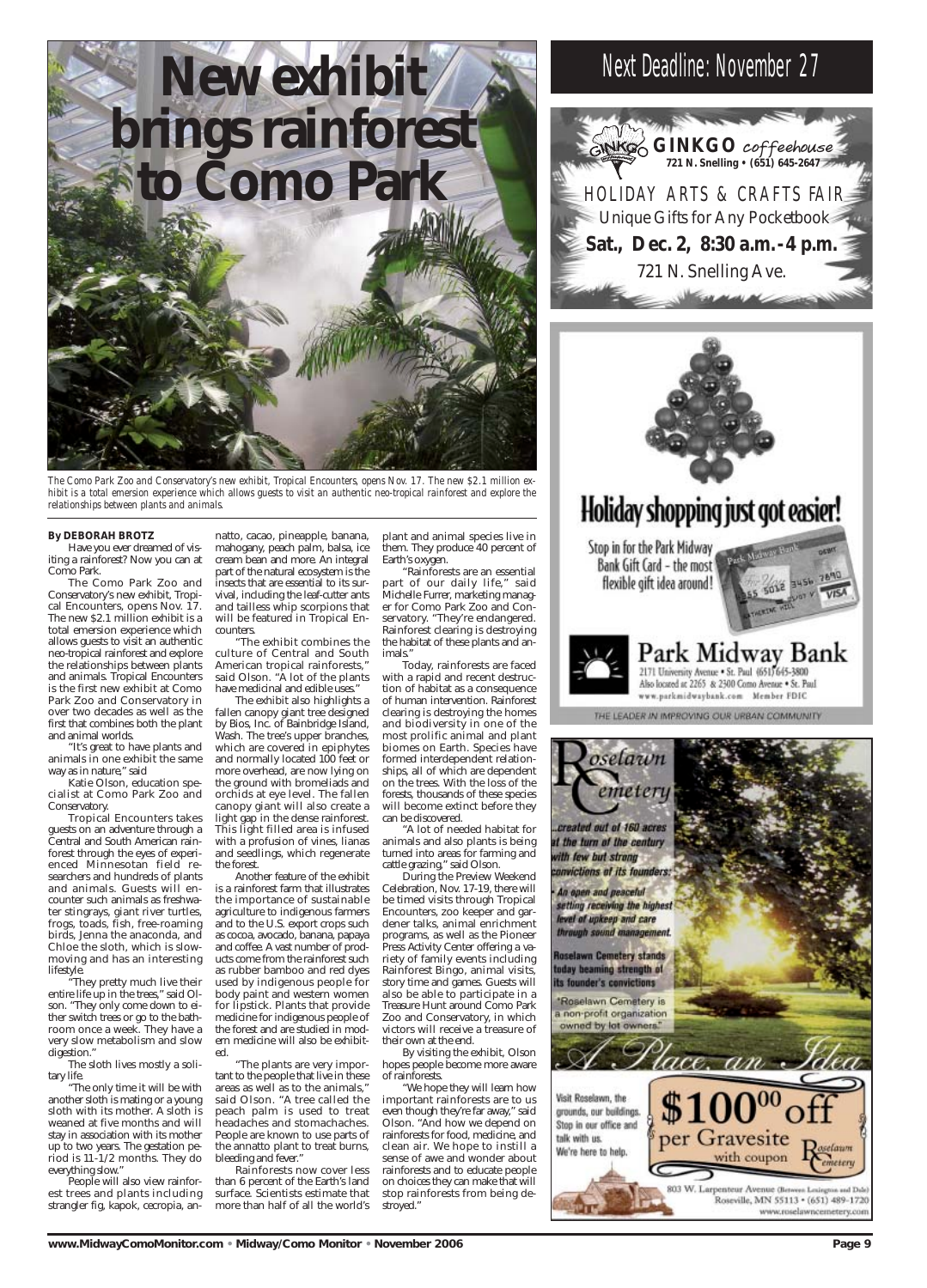#### **By DEBORAH BROTZ**

Have you ever dreamed of visiting a rainforest? Now you can at Como Park.

The Como Park Zoo and Conservatory's new exhibit, Tropical Encounters, opens Nov. 17. The new \$2.1 million exhibit is a total emersion experience which allows guests to visit an authentic neo-tropical rainforest and explore the relationships between plants and animals. Tropical Encounters is the first new exhibit at Como Park Zoo and Conservatory in over two decades as well as the first that combines both the plant and animal worlds.

"They pretty much live their entire life up in the trees," said Olson. They only come down to either switch trees or go to the bathroom once a week. They have a very slow metabolism and slow digestion.'

"It's great to have plants and animals in one exhibit the same way as in nature," said

Katie Olson, education specialist at Como Park Zoo and Conservatory.

Tropical Encounters takes guests on an adventure through a Central and South American rainforest through the eyes of experienced Minnesotan field researchers and hundreds of plants and animals. Guests will encounter such animals as freshwater stingrays, giant river turtles, frogs, toads, fish, free-roaming birds, Jenna the anaconda, and Chloe the sloth, which is slowmoving and has an interesting lifestyle.

"The exhibit combines the culture of Central and South American tropical rainforests," said Olson. "A lot of the plants have medicinal and edible uses."

The sloth lives mostly a solitary life.

"The only time it will be with another sloth is mating or a young sloth with its mother. A sloth is weaned at five months and will stay in association with its mother up to two years. The gestation period is 11-1/2 months. They do everything slow."

People will also view rainforest trees and plants including strangler fig, kapok, cecropia, an-

natto, cacao, pineapple, banana, mahogany, peach palm, balsa, ice cream bean and more. An integral part of the natural ecosystem is the insects that are essential to its survival, including the leaf-cutter ants and tailless whip scorpions that will be featured in Tropical Encounters.

The exhibit also highlights a fallen canopy giant tree designed by Bios, Inc. of Bainbridge Island, Wash. The tree's upper branches, which are covered in epiphytes and normally located 100 feet or more overhead, are now lying on the ground with bromeliads and orchids at eye level. The fallen canopy giant will also create a light gap in the dense rainforest. This light filled area is infused with a profusion of vines, lianas and seedlings, which regenerate the forest.

Another feature of the exhibit is a rainforest farm that illustrates the importance of sustainable agriculture to indigenous farmers and to the U.S. export crops such as cocoa, avocado, banana, papaya and coffee. A vast number of products come from the rainforest such as rubber bamboo and red dyes used by indigenous people for body paint and western women for lipstick. Plants that provide medicine for indigenous people of the forest and are studied in modern medicine will also be exhibited.

"The plants are very important to the people that live in these areas as well as to the animals," said Olson. "A tree called the peach palm is used to treat headaches and stomachaches. People are known to use parts of the annatto plant to treat burns, bleeding and fever."

Rainforests now cover less than 6 percent of the Earth's land surface. Scientists estimate that more than half of all the world's

plant and animal species live in them. They produce 40 percent of Earth's oxygen.

"Rainforests are an essential part of our daily life," said Michelle Furrer, marketing manager for Como Park Zoo and Conservatory. "They're endangered. Rainforest clearing is destroying the habitat of these plants and animals."

Today, rainforests are faced with a rapid and recent destruction of habitat as a consequence of human intervention. Rainforest clearing is destroying the homes and biodiversity in one of the most prolific animal and plant biomes on Earth. Species have formed interdependent relationships, all of which are dependent on the trees. With the loss of the forests, thousands of these species will become extinct before they can be discovered.

"A lot of needed habitat for animals and also plants is being turned into areas for farming and cattle grazing," said Olson.

During the Preview Weekend Celebration, Nov. 17-19, there will be timed visits through Tropical Encounters, zoo keeper and gardener talks, animal enrichment programs, as well as the Pioneer Press Activity Center offering a variety of family events including Rainforest Bingo, animal visits, story time and games. Guests will also be able to participate in a Treasure Hunt around Como Park Zoo and Conservatory, in which victors will receive a treasure of their own at the end. By visiting the exhibit, Olson hopes people become more aware of rainforests. "We hope they will learn how important rainforests are to us even though they're far away," said Olson. "And how we depend on rainforests for food, medicine, and clean air. We hope to instill a sense of awe and wonder about rainforests and to educate people on choices they can make that will stop rainforests from being destroyed."



*The Como Park Zoo and Conservatory's new exhibit, Tropical Encounters, opens Nov. 17. The new \$2.1 million exhibit is a total emersion experience which allows guests to visit an authentic neo-tropical rainforest and explore the relationships between plants and animals.* 







Park Midway Bank 2171 University Avenue - St. Paul (651) 645-3800 Also located at 2265 & 2300 Como Avenue . St. Paul www.parkmidwaybank.com Member FDIC

THE LEADER IN IMPROVING OUR URBAN COMMUNITY

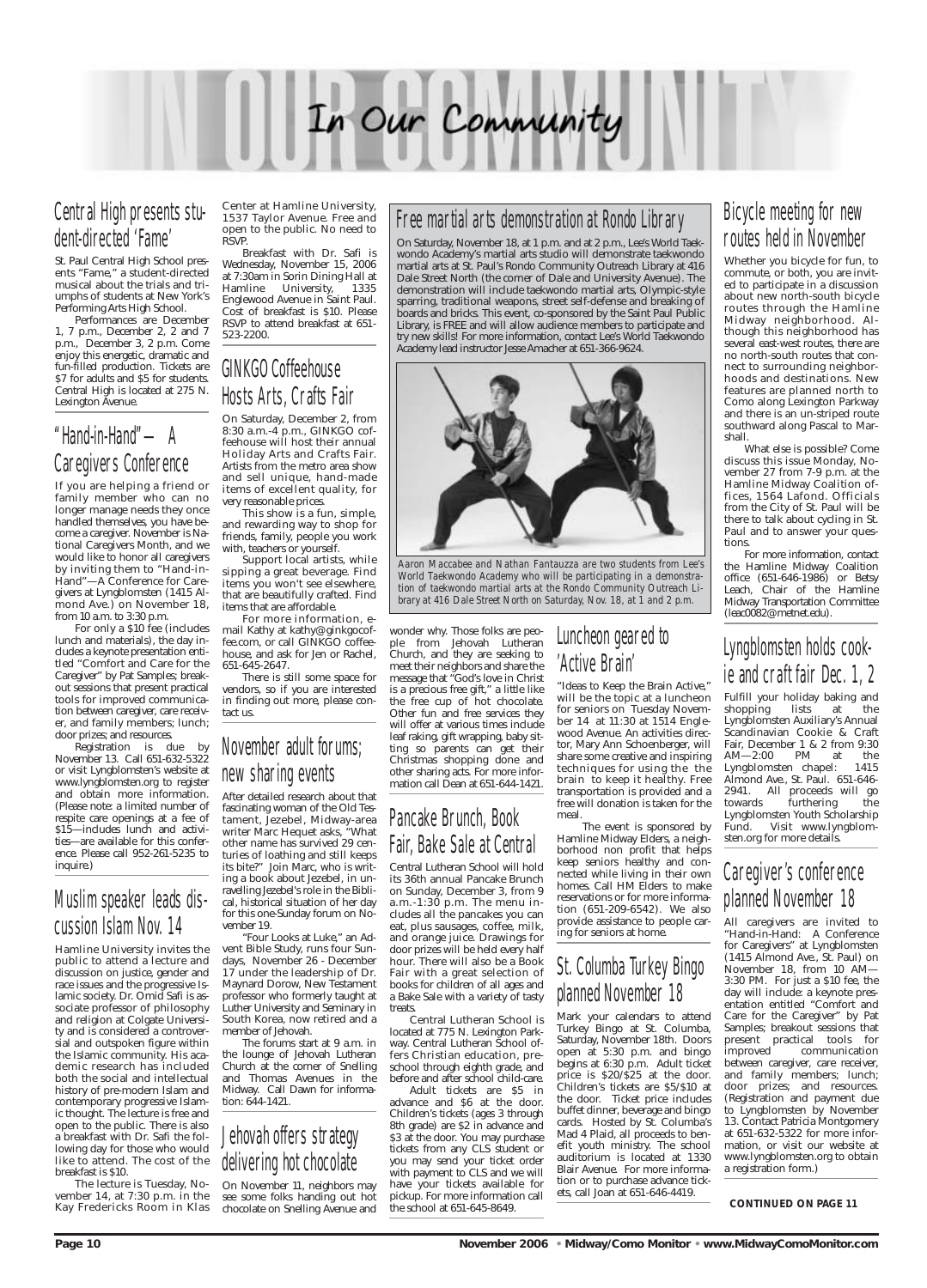

## Central High presents student-directed 'Fame'

St. Paul Central High School presents "Fame," a student-directed musical about the trials and triumphs of students at New York's Performing Arts High School.

Performances are December 1, 7 p.m., December 2, 2 and 7 p.m., December 3, 2 p.m. Come enjoy this energetic, dramatic and fun-filled production. Tickets are \$7 for adults and \$5 for students. Central High is located at 275 N. Lexington Avenue.

## "Hand-in-Hand"—A Caregivers Conference

If you are helping a friend or family member who can no longer manage needs they once handled themselves, you have become a caregiver. November is National Caregivers Month, and we would like to honor all caregivers by inviting them to "Hand-in-Hand"—A Conference for Caregivers at Lyngblomsten (1415 Almond Ave.) on November 18, from 10 a.m. to 3:30 p.m.

For only a \$10 fee (includes lunch and materials), the day includes a keynote presentation entitled "Comfort and Care for the Caregiver" by Pat Samples; breakout sessions that present practical tools for improved communication between caregiver, care receiver, and family members; lunch; door prizes; and resources.

Registration is due by November 13. Call 651-632-5322 or visit Lyngblomsten's website at www.lyngblomsten.org to register and obtain more information. (Please note: a limited number of respite care openings at a fee of \$15—includes lunch and activities—are available for this conference. Please call 952-261-5235 to inquire.)

This show is a fun, simple, and rewarding way to shop for friends, family, people you work with, teachers or yourself.

## Muslim speaker leads discussion Islam Nov. 14

Hamline University invites the public to attend a lecture and discussion on justice, gender and race issues and the progressive Islamic society. Dr. Omid Safi is associate professor of philosophy and religion at Colgate University and is considered a controversial and outspoken figure within the Islamic community. His academic research has included both the social and intellectual history of pre-modern Islam and contemporary progressive Islamic thought. The lecture is free and open to the public. There is also a breakfast with Dr. Safi the following day for those who would like to attend. The cost of the breakfast is \$10.

The lecture is Tuesday, November 14, at 7:30 p.m. in the Kay Fredericks Room in Klas Center at Hamline University, 1537 Taylor Avenue. Free and open to the public. No need to RSVP.

Breakfast with Dr. Safi is Wednesday, November 15, 2006 at 7:30am in Sorin Dining Hall at Hamline University, 1335 Englewood Avenue in Saint Paul. Cost of breakfast is \$10. Please RSVP to attend breakfast at 651- 523-2200.

## GINKGO Coffeehouse Hosts Arts, Crafts Fair

On Saturday, December 2, from 8:30 a.m.-4 p.m., GINKGO coffeehouse will host their annual Holiday Arts and Crafts Fair. Artists from the metro area show and sell unique, hand-made items of excellent quality, for very reasonable prices.

Support local artists, while sipping a great beverage. Find items you won't see elsewhere, that are beautifully crafted. Find items that are affordable.

For more information, email Kathy at kathy@ginkgocoffee.com, or call GINKGO coffeehouse, and ask for Jen or Rachel, 651-645-2647.

There is still some space for vendors, so if you are interested in finding out more, please contact us.

## November adult forums; new sharing events

After detailed research about that fascinating woman of the Old Testament, Jezebel, Midway-area writer Marc Hequet asks, "What other name has survived 29 centuries of loathing and still keeps its bite?" Join Marc, who is writing a book about Jezebel, in unravelling Jezebel's role in the Biblical, historical situation of her day for this one-Sunday forum on November 19.

"Four Looks at Luke," an Advent Bible Study, runs four Sundays, November 26 - December 17 under the leadership of Dr. Maynard Dorow, New Testament professor who formerly taught at Luther University and Seminary in South Korea, now retired and a member of Jehovah.

The forums start at 9 a.m. in the lounge of Jehovah Lutheran Church at the corner of Snelling and Thomas Avenues in the Midway. Call Dawn for information: 644-1421.

Fulfill your holiday baking and<br>shopping lists at the shopping lists at the Lyngblomsten Auxiliary's Annual Scandinavian Cookie & Craft Fair, December 1 & 2 from 9:30<br>AM-2:00 PM at the AM—2:00 PM at the Lyngblomsten chapel: 1415 Almond Ave., St. Paul. 651-646- 2941. All proceeds will go furthering the Lyngblomsten Youth Scholarship Visit www.lyngblomsten.org for more details.



On November 11, neighbors may see some folks handing out hot chocolate on Snelling Avenue and

wonder why. Those folks are people from Jehovah Lutheran Church, and they are seeking to meet their neighbors and share the message that "God's love in Christ is a precious free gift," a little like the free cup of hot chocolate. Other fun and free services they will offer at various times include leaf raking, gift wrapping, baby sitting so parents can get their Christmas shopping done and other sharing acts. For more information call Dean at 651-644-1421.

## Pancake Brunch, Book Fair, Bake Sale at Central

Central Lutheran School will hold its 36th annual Pancake Brunch on Sunday, December 3, from 9 a.m.-1:30 p.m. The menu includes all the pancakes you can eat, plus sausages, coffee, milk, and orange juice. Drawings for door prizes will be held every half hour. There will also be a Book Fair with a great selection of books for children of all ages and a Bake Sale with a variety of tasty

treats.

Central Lutheran School is located at 775 N. Lexington Parkway. Central Lutheran School offers Christian education, preschool through eighth grade, and before and after school child-care. Adult tickets are \$5 in advance and \$6 at the door. Children's tickets (ages 3 through 8th grade) are \$2 in advance and \$3 at the door. You may purchase tickets from any CLS student or you may send your ticket order with payment to CLS and we will have your tickets available for pickup. For more information call the school at 651-645-8649.

## Luncheon geared to 'Active Brain'

"Ideas to Keep the Brain Active," will be the topic at a luncheon for seniors on Tuesday November 14 at 11:30 at 1514 Englewood Avenue. An activities director, Mary Ann Schoenberger, will share some creative and inspiring techniques for using the the brain to keep it healthy. Free transportation is provided and a free will donation is taken for the meal.

The event is sponsored by Hamline Midway Elders, a neighborhood non profit that helps keep seniors healthy and connected while living in their own homes. Call HM Elders to make reservations or for more information (651-209-6542). We also provide assistance to people caring for seniors at home.

## St. Columba Turkey Bingo planned November 18

Mark your calendars to attend Turkey Bingo at St. Columba, Saturday, November 18th. Doors open at 5:30 p.m. and bingo begins at 6:30 p.m. Adult ticket price is \$20/\$25 at the door. Children's tickets are \$5/\$10 at the door. Ticket price includes buffet dinner, beverage and bingo cards. Hosted by St. Columba's Mad 4 Plaid, all proceeds to benefit youth ministry. The school auditorium is located at 1330 Blair Avenue. For more information or to purchase advance tickets, call Joan at 651-646-4419.

## Bicycle meeting for new routes held in November

Whether you bicycle for fun, to commute, or both, you are invited to participate in a discussion about new north-south bicycle routes through the Hamline Midway neighborhood. Although this neighborhood has several east-west routes, there are no north-south routes that connect to surrounding neighborhoods and destinations. New features are planned north to Como along Lexington Parkway and there is an un-striped route southward along Pascal to Marshall.

What else is possible? Come discuss this issue Monday, November 27 from 7-9 p.m. at the Hamline Midway Coalition offices, 1564 Lafond. Officials from the City of St. Paul will be there to talk about cycling in St. Paul and to answer your questions.

For more information, contact the Hamline Midway Coalition office (651-646-1986) or Betsy Leach, Chair of the Hamline Midway Transportation Committee (leac0082@metnet.edu).

## Lyngblomsten holds cookie and craft fair Dec. 1, 2

## Caregiver's conference planned November 18

All caregivers are invited to "Hand-in-Hand: A Conference for Caregivers" at Lyngblomsten (1415 Almond Ave., St. Paul) on November 18, from 10 AM— 3:30 PM. For just a \$10 fee, the day will include: a keynote presentation entitled "Comfort and Care for the Caregiver" by Pat Samples; breakout sessions that present practical tools for improved communication between caregiver, care receiver, and family members; lunch; door prizes; and resources. (Registration and payment due to Lyngblomsten by November 13. Contact Patricia Montgomery at 651-632-5322 for more information, or visit our website at www.lyngblomsten.org to obtain a registration form.)

#### **CONTINUED ON PAGE 11**

**Page 10 November 2006 • Midway/Como Monitor • www.MidwayComoMonitor.com** 

## Free martial arts demonstration at Rondo Library

On Saturday, November 18, at 1 p.m. and at 2 p.m., Lee's World Taekwondo Academy's martial arts studio will demonstrate taekwondo martial arts at St. Paul's Rondo Community Outreach Library at 416 Dale Street North (the corner of Dale and University Avenue). The demonstration will include taekwondo martial arts, Olympic-style sparring, traditional weapons, street self-defense and breaking of boards and bricks. This event, co-sponsored by the Saint Paul Public Library, is FREE and will allow audience members to participate and try new skills! For more information, contact Lee's World Taekwondo Academy lead instructor Jesse Amacher at 651-366-9624.



*Aaron Maccabee and Nathan Fantauzza are two students from Lee's World Taekwondo Academy who will be participating in a demonstration of taekwondo martial arts at the Rondo Community Outreach Library at 416 Dale Street North on Saturday, Nov. 18, at 1 and 2 p.m.*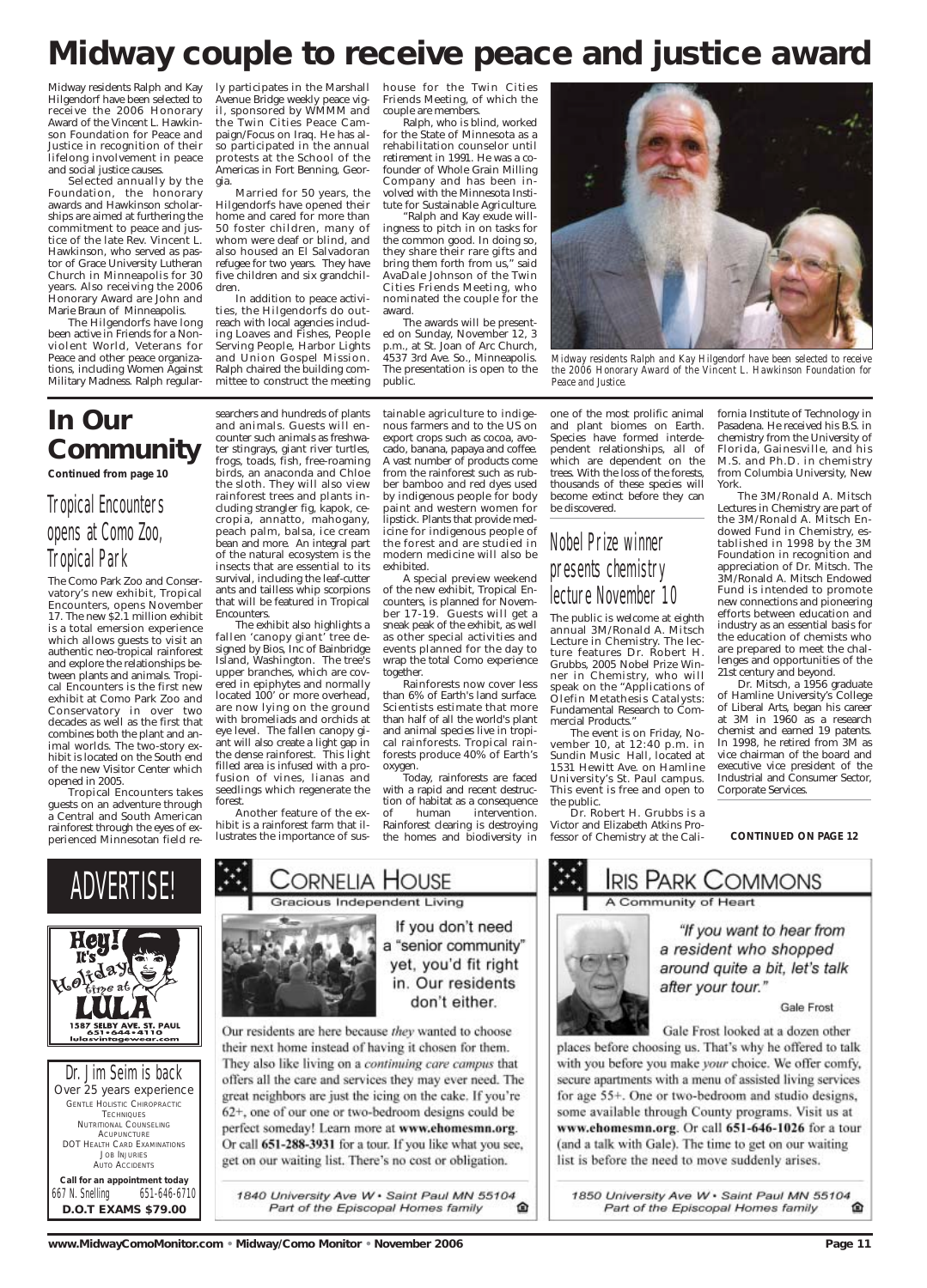Midway residents Ralph and Kay Hilgendorf have been selected to receive the 2006 Honorary Award of the Vincent L. Hawkinson Foundation for Peace and Justice in recognition of their lifelong involvement in peace and social justice causes.

Selected annually by the Foundation, the honorary awards and Hawkinson scholarships are aimed at furthering the commitment to peace and justice of the late Rev. Vincent L. Hawkinson, who served as pastor of Grace University Lutheran Church in Minneapolis for 30 years. Also receiving the 2006 Honorary Award are John and Marie Braun of Minneapolis.

The Hilgendorfs have long been active in Friends for a Nonviolent World, Veterans for Peace and other peace organizations, including Women Against Military Madness. Ralph regular-

ly participates in the Marshall Avenue Bridge weekly peace vigil, sponsored by WMMM and the Twin Cities Peace Campaign/Focus on Iraq. He has also participated in the annual protests at the School of the Americas in Fort Benning, Georgia.

Married for 50 years, the Hilgendorfs have opened their home and cared for more than 50 foster children, many of whom were deaf or blind, and also housed an El Salvadoran refugee for two years. They have five children and six grandchildren.

In addition to peace activities, the Hilgendorfs do outreach with local agencies including Loaves and Fishes, People Serving People, Harbor Lights and Union Gospel Mission. Ralph chaired the building committee to construct the meeting

house for the Twin Cities Friends Meeting, of which the couple are members.

Ralph, who is blind, worked for the State of Minnesota as a rehabilitation counselor until retirement in 1991. He was a cofounder of Whole Grain Milling Company and has been involved with the Minnesota Institute for Sustainable Agriculture.

"Ralph and Kay exude willingness to pitch in on tasks for the common good. In doing so, they share their rare gifts and bring them forth from us," said AvaDale Johnson of the Twin Cities Friends Meeting, who nominated the couple for the award.

The awards will be presented on Sunday, November 12, 3 p.m., at St. Joan of Arc Church, 4537 3rd Ave. So., Minneapolis. The presentation is open to the public.

Dr. Jim Seim is back *Over 25 years experience* GENTLE HOLISTIC CHIROPRACTIC **TECHNIQUES** NUTRITIONAL COUNSELING **ACUPUNCTURE** DOT HEALTH CARD EXAMINATIONS JOB INJURIES AUTO ACCIDENTS

*Call for an appointment today* 667 N. Snelling 651-646-6710 **D.O.T EXAMS \$79.00**

their next home instead of having it chosen for them. They also like living on a continuing care campus that offers all the care and services they may ever need. The great neighbors are just the icing on the cake. If you're 62+, one of our one or two-bedroom designs could be perfect someday! Learn more at www.ehomesmn.org. Or call 651-288-3931 for a tour. If you like what you see, get on our waiting list. There's no cost or obligation.

1840 University Ave W · Saint Paul MN 55104 Part of the Episcopal Homes family ⋒ Gale Frost

Gale Frost looked at a dozen other

places before choosing us. That's why he offered to talk with you before you make your choice. We offer comfy, secure apartments with a menu of assisted living services for age 55+. One or two-bedroom and studio designs, some available through County programs. Visit us at www.ehomesmn.org. Or call 651-646-1026 for a tour (and a talk with Gale). The time to get on our waiting list is before the need to move suddenly arises.

1850 University Ave W · Saint Paul MN 55104 Part of the Episcopal Homes family ⋒





## **In Our Community**

**Continued from page 10**

## Tropical Encounters opens at Como Zoo, Tropical Park

The Como Park Zoo and Conservatory's new exhibit, Tropical Encounters, opens November 17. The new \$2.1 million exhibit is a total emersion experience which allows guests to visit an authentic neo-tropical rainforest and explore the relationships between plants and animals. Tropical Encounters is the first new exhibit at Como Park Zoo and Conservatory in over two decades as well as the first that combines both the plant and animal worlds. The two-story exhibit is located on the South end of the new Visitor Center which opened in 2005.

Tropical Encounters takes guests on an adventure through a Central and South American rainforest through the eyes of experienced Minnesotan field researchers and hundreds of plants

and animals. Guests will encounter such animals as freshwater stingrays, giant river turtles, frogs, toads, fish, free-roaming birds, an anaconda and Chloe the sloth. They will also view rainforest trees and plants including strangler fig, kapok, cecropia, annatto, mahogany, peach palm, balsa, ice cream bean and more. An integral part of the natural ecosystem is the insects that are essential to its survival, including the leaf-cutter ants and tailless whip scorpions that will be featured in Tropical Encounters.

The exhibit also highlights a fallen 'canopy giant' tree designed by Bios, Inc of Bainbridge Island, Washington. The tree's upper branches, which are covered in epiphytes and normally located 100' or more overhead, are now lying on the ground with bromeliads and orchids at eye level. The fallen canopy giant will also create a light gap in the dense rainforest. This light filled area is infused with a profusion of vines, lianas and seedlings which regenerate the forest.

Another feature of the exhibit is a rainforest farm that illustrates the importance of sustainable agriculture to indigenous farmers and to the US on export crops such as cocoa, avocado, banana, papaya and coffee. A vast number of products come from the rainforest such as rubber bamboo and red dyes used by indigenous people for body paint and western women for lipstick. Plants that provide medicine for indigenous people of the forest and are studied in modern medicine will also be exhibited.

A special preview weekend of the new exhibit, Tropical Encounters, is planned for November 17-19. Guests will get a sneak peak of the exhibit, as well as other special activities and events planned for the day to wrap the total Como experience together.

Rainforests now cover less than 6% of Earth's land surface. Scientists estimate that more than half of all the world's plant and animal species live in tropical rainforests. Tropical rainforests produce 40% of Earth's oxygen.

Today, rainforests are faced with a rapid and recent destruction of habitat as a consequence of human intervention. Rainforest clearing is destroying the homes and biodiversity in one of the most prolific animal and plant biomes on Earth. Species have formed interdependent relationships, all of which are dependent on the trees. With the loss of the forests, thousands of these species will become extinct before they can be discovered.

## Nobel Prize winner presents chemistry lecture November 10

The public is welcome at eighth annual 3M/Ronald A. Mitsch Lecture in Chemistry. The lecture features Dr. Robert H. Grubbs, 2005 Nobel Prize Winner in Chemistry, who will speak on the "Applications of Olefin Metathesis Catalysts: Fundamental Research to Commercial Products."

The event is on Friday, November 10, at 12:40 p.m. in Sundin Music Hall, located at 1531 Hewitt Ave. on Hamline University's St. Paul campus. This event is free and open to the public.

Dr. Robert H. Grubbs is a Victor and Elizabeth Atkins Professor of Chemistry at the California Institute of Technology in Pasadena. He received his B.S. in chemistry from the University of Florida, Gainesville, and his M.S. and Ph.D. in chemistry from Columbia University, New York.

The 3M/Ronald A. Mitsch Lectures in Chemistry are part of the 3M/Ronald A. Mitsch Endowed Fund in Chemistry, established in 1998 by the 3M Foundation in recognition and appreciation of Dr. Mitsch. The 3M/Ronald A. Mitsch Endowed Fund is intended to promote new connections and pioneering efforts between education and industry as an essential basis for the education of chemists who are prepared to meet the challenges and opportunities of the 21st century and beyond.

Dr. Mitsch, a 1956 graduate of Hamline University's College of Liberal Arts, began his career at  $3M$  in 1960 as a research chemist and earned 19 patents. In 1998, he retired from 3M as vice chairman of the board and executive vice president of the Industrial and Consumer Sector, Corporate Services.

**CONTINUED ON PAGE 12**

# **Midway couple to receive peace and justice award**



*Midway residents Ralph and Kay Hilgendorf have been selected to receive the 2006 Honorary Award of the Vincent L. Hawkinson Foundation for Peace and Justice.*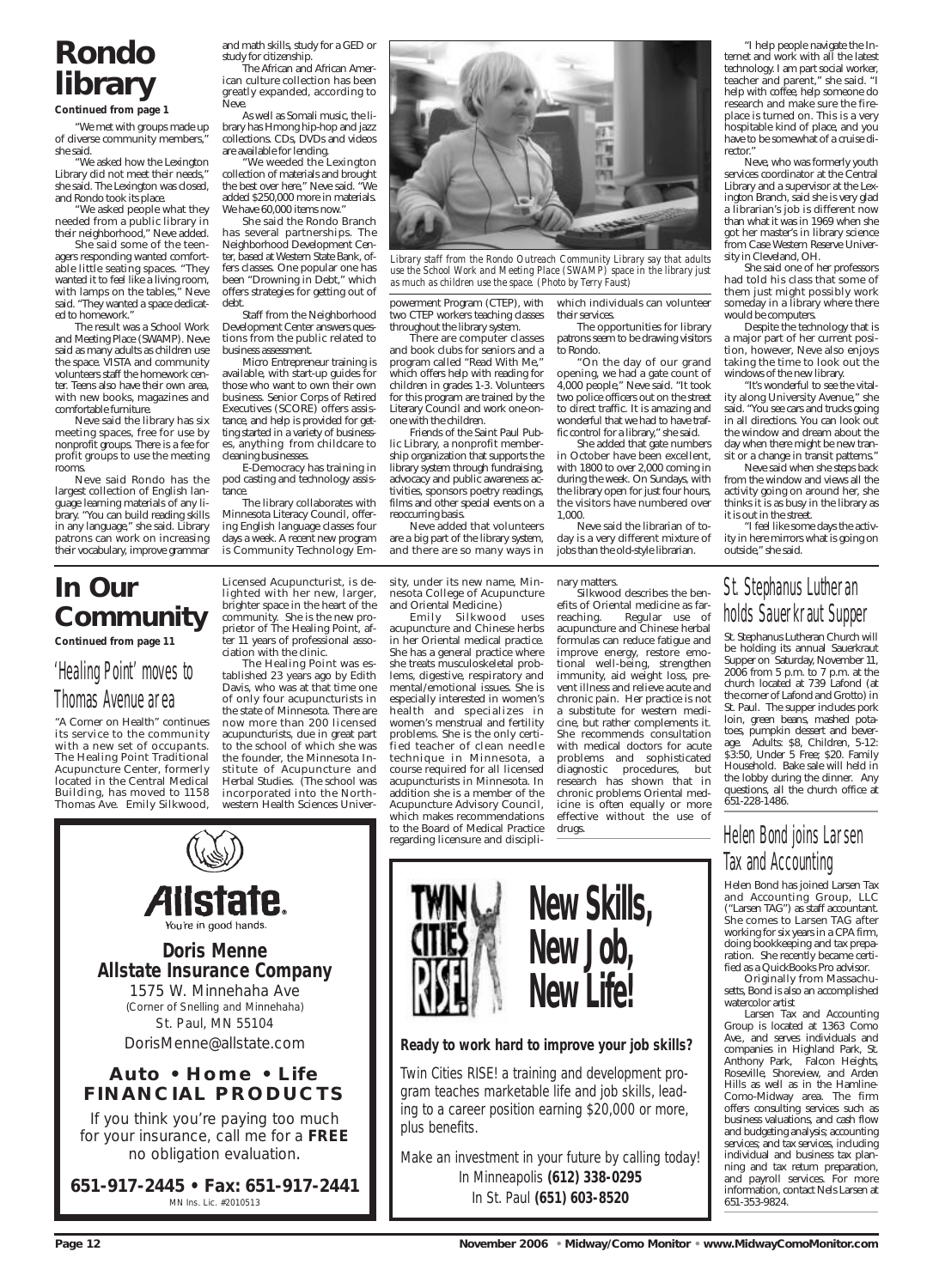## **In Our Community**

**Continued from page 11**

## 'Healing Point' moves to Thomas Avenue area

"A Corner on Health" continues its service to the community with a new set of occupants. The Healing Point Traditional Acupuncture Center, formerly located in the Central Medical Building, has moved to 1158 Thomas Ave. Emily Silkwood,

Licensed Acupuncturist, is delighted with her new, larger, brighter space in the heart of the community. She is the new proprietor of The Healing Point, after 11 years of professional association with the clinic.

The Healing Point was established 23 years ago by Edith Davis, who was at that time one of only four acupuncturists in the state of Minnesota. There are now more than 200 licensed acupuncturists, due in great part to the school of which she was the founder, the Minnesota Institute of Acupuncture and Herbal Studies. (The school was incorporated into the Northwestern Health Sciences University, under its new name, Minnesota College of Acupuncture and Oriental Medicine.)

Emily Silkwood uses acupuncture and Chinese herbs in her Oriental medical practice. She has a general practice where she treats musculoskeletal problems, digestive, respiratory and mental/emotional issues. She is especially interested in women's health and specializes in women's menstrual and fertility problems. She is the only certified teacher of clean needle technique in Minnesota, a course required for all licensed acupuncturists in Minnesota. In addition she is a member of the Acupuncture Advisory Council, which makes recommendations to the Board of Medical Practice regarding licensure and disciplinary matters.

Silkwood describes the benefits of Oriental medicine as farreaching. Regular use of acupuncture and Chinese herbal formulas can reduce fatigue and improve energy, restore emotional well-being, strengthen immunity, aid weight loss, prevent illness and relieve acute and chronic pain. Her practice is not a substitute for western medicine, but rather complements it. She recommends consultation with medical doctors for acute problems and sophisticated diagnostic procedures, but research has shown that in chronic problems Oriental medicine is often equally or more effective without the use of drugs.

## **New Life! TILLE**



St. Stephanus Lutheran Church will be holding its annual Sauerkraut Supper on Saturday, November 11, 2006 from 5 p.m. to 7 p.m. at the church located at 739 Lafond (at the corner of Lafond and Grotto) in St. Paul. The supper includes pork loin, green beans, mashed potatoes, pumpkin dessert and beverage. Adults: \$8, Children, 5-12: \$3:50, Under 5 Free; \$20. Family Household. Bake sale will held in the lobby during the dinner. Any questions, all the church office at 651-228-1486.

## Helen Bond joins Larsen Tax and Accounting

Helen Bond has joined Larsen Tax and Accounting Group, LLC ("Larsen TAG") as staff accountant. She comes to Larsen TAG after working for six years in a CPA firm, doing bookkeeping and tax preparation. She recently became certified as a QuickBooks Pro advisor.

Originally from Massachusetts, Bond is also an accomplished watercolor artist Larsen Tax and Accounting Group is located at 1363 Como Ave., and serves individuals and companies in Highland Park, St. Anthony Park, Falcon Heights, Roseville, Shoreview, and Arden Hills as well as in the Hamline-Como-Midway area. The firm offers consulting services such as business valuations, and cash flow and budgeting analysis; accounting services; and tax services, including individual and business tax planning and tax return preparation, and payroll services. For more information, contact Nels Larsen at 651-353-9824.

**Page 12 November 2006 • Midway/Como Monitor • www.MidwayComoMonitor.com** 



(Corner of Snelling and Minnehaha) St. Paul, MN 55104 *DorisMenne@allstate.com*

### **Auto • Home • Life FINANCIAL PRODUCTS**

If you think you're paying too much for your insurance, call me for a *FREE* no obligation evaluation.

**651-917-2445 • Fax: 651-917-2441** MN Ins. Lic. #2010513

**New Skills,**

**New Job,**

*Ready to work hard to improve your job skills?*

Twin Cities RISE! a training and development program teaches marketable life and job skills, leading to a career position earning \$20,000 or more, plus benefits.

Make an investment in your future by calling today! In Minneapolis **(612) 338-0295** In St. Paul **(651) 603-8520**

# **Rondo library**

#### **Continued from page 1**

"We met with groups made up of diverse community members," she said.

"We asked how the Lexington Library did not meet their needs," she said. The Lexington was closed, and Rondo took its place.

"We asked people what they needed from a public library in their neighborhood," Neve added.

She said some of the teenagers responding wanted comfortable little seating spaces. "They wanted it to feel like a living room, with lamps on the tables," Neve said. "They wanted a space dedicated to homework."

The result was a School Work and Meeting Place (SWAMP). Neve said as many adults as children use the space. VISTA and community volunteers staff the homework center. Teens also have their own area, with new books, magazines and comfortable furniture.

Neve said the library has six meeting spaces, free for use by nonprofit groups. There is a fee for profit groups to use the meeting rooms.

Neve said Rondo has the largest collection of English language learning materials of any library. "You can build reading skills in any language," she said. Library patrons can work on increasing their vocabulary, improve grammar

and math skills, study for a GED or study for citizenship.

The African and African American culture collection has been greatly expanded, according to Neve.

As well as Somali music, the library has Hmong hip-hop and jazz collections. CDs, DVDs and videos are available for lending.

"We weeded the Lexington collection of materials and brought the best over here," Neve said. "We added \$250,000 more in materials. We have 60,000 items now."

She said the Rondo Branch has several partnerships. The Neighborhood Development Center, based at Western State Bank, offers classes. One popular one has been "Drowning in Debt," which offers strategies for getting out of debt.

Staff from the Neighborhood Development Center answers questions from the public related to business assessment.

Micro Entrepreneur training is available, with start-up guides for those who want to own their own business. Senior Corps of Retired Executives (SCORE) offers assistance, and help is provided for getting started in a variety of businesses, anything from childcare to cleaning businesses.

E-Democracy has training in pod casting and technology assistance.

The library collaborates with Minnesota Literacy Council, offering English language classes four days a week. A recent new program is Community Technology Empowerment Program (CTEP), with two CTEP workers teaching classes throughout the library system.

There are computer classes and book clubs for seniors and a program called "Read With Me," which offers help with reading for children in grades 1-3. Volunteers for this program are trained by the Literary Council and work one-onone with the children.

Friends of the Saint Paul Public Library, a nonprofit membership organization that supports the library system through fundraising, advocacy and public awareness activities, sponsors poetry readings, films and other special events on a reoccurring basis.

Neve added that volunteers are a big part of the library system, and there are so many ways in

which individuals can volunteer their services.

The opportunities for library patrons seem to be drawing visitors to Rondo.

"On the day of our grand opening, we had a gate count of 4,000 people," Neve said. "It took two police officers out on the street to direct traffic. It is amazing and wonderful that we had to have traffic control for a library," she said.

She added that gate numbers in October have been excellent, with 1800 to over 2,000 coming in during the week. On Sundays, with the library open for just four hours, the visitors have numbered over 1,000.

Neve said the librarian of today is a very different mixture of jobs than the old-style librarian.

"I help people navigate the Internet and work with all the latest technology. I am part social worker, teacher and parent," she said. "I help with coffee, help someone do research and make sure the fireplace is turned on. This is a very hospitable kind of place, and you have to be somewhat of a cruise director."

Neve, who was formerly youth services coordinator at the Central Library and a supervisor at the Lexington Branch, said she is very glad a librarian's job is different now than what it was in 1969 when she got her master's in library science from Case Western Reserve University in Cleveland, OH.

She said one of her professors had told his class that some of them just might possibly work someday in a library where there would be computers.

Despite the technology that is a major part of her current position, however, Neve also enjoys taking the time to look out the windows of the new library.

"It's wonderful to see the vitality along University Avenue," she said. "You see cars and trucks going in all directions. You can look out the window and dream about the day when there might be new transit or a change in transit patterns."

Neve said when she steps back from the window and views all the activity going on around her, she thinks it is as busy in the library as it is out in the street.

"I feel like some days the activity in here mirrors what is going on outside," she said.



*Library staff from the Rondo Outreach Community Library say that adults use the School Work and Meeting Place (SWAMP) space in the library just as much as children use the space. (Photo by Terry Faust)*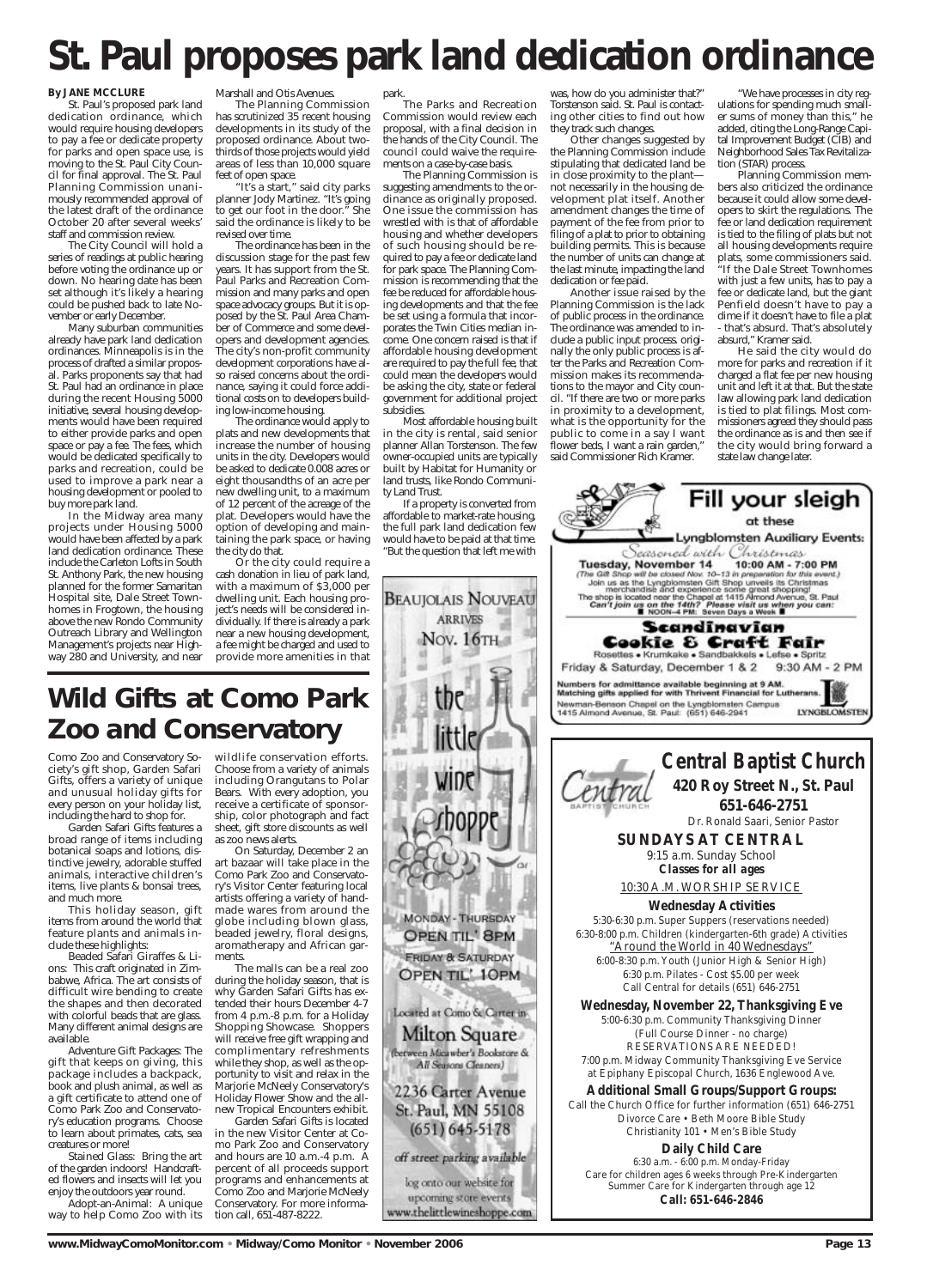#### **By JANE MCCLURE**

St. Paul's proposed park land dedication ordinance, which would require housing developers to pay a fee or dedicate property for parks and open space use, is moving to the St. Paul City Council for final approval. The St. Paul Planning Commission unanimously recommended approval of the latest draft of the ordinance October 20 after several weeks' staff and commission review.

The City Council will hold a series of readings at public hearing before voting the ordinance up or down. No hearing date has been set although it's likely a hearing could be pushed back to late November or early December.

Many suburban communities already have park land dedication ordinances. Minneapolis is in the process of drafted a similar proposal. Parks proponents say that had St. Paul had an ordinance in place during the recent Housing 5000 initiative, several housing developments would have been required to either provide parks and open space or pay a fee. The fees, which would be dedicated specifically to parks and recreation, could be used to improve a park near a housing development or pooled to buy more park land.

In the Midway area many projects under Housing 5000 would have been affected by a park land dedication ordinance. These include the Carleton Lofts in South St. Anthony Park, the new housing planned for the former Samaritan Hospital site, Dale Street Townhomes in Frogtown, the housing above the new Rondo Community Outreach Library and Wellington Management's projects near Highway 280 and University, and near

Marshall and Otis Avenues.

The Planning Commission has scrutinized 35 recent housing developments in its study of the proposed ordinance. About twothirds of those projects would yield areas of less than 10,000 square feet of open space.

"It's a start," said city parks planner Jody Martinez. "It's going to get our foot in the door." She said the ordinance is likely to be revised over time.

The ordinance has been in the discussion stage for the past few years. It has support from the St. Paul Parks and Recreation Commission and many parks and open space advocacy groups. But it is opposed by the St. Paul Area Chamber of Commerce and some developers and development agencies. The city's non-profit community development corporations have also raised concerns about the ordinance, saying it could force additional costs on to developers building low-income housing.

The ordinance would apply to plats and new developments that increase the number of housing units in the city. Developers would be asked to dedicate 0.008 acres or eight thousandths of an acre per new dwelling unit, to a maximum of 12 percent of the acreage of the plat. Developers would have the option of developing and maintaining the park space, or having the city do that.

Or the city could require a cash donation in lieu of park land, with a maximum of \$3,000 per dwelling unit. Each housing project's needs will be considered individually. If there is already a park near a new housing development, a fee might be charged and used to provide more amenities in that

#### park.

The Parks and Recreation Commission would review each proposal, with a final decision in the hands of the City Council. The council could waive the requirements on a case-by-case basis.

The Planning Commission is suggesting amendments to the ordinance as originally proposed. One issue the commission has wrestled with is that of affordable housing and whether developers of such housing should be required to pay a fee or dedicate land for park space. The Planning Commission is recommending that the fee be reduced for affordable housing developments and that the fee be set using a formula that incorporates the Twin Cities median income. One concern raised is that if affordable housing development are required to pay the full fee, that could mean the developers would be asking the city, state or federal government for additional project subsidies.

Most affordable housing built in the city is rental, said senior planner Allan Torstenson. The few owner-occupied units are typically built by Habitat for Humanity or land trusts, like Rondo Community Land Trust.

If a property is converted from affordable to market-rate housing, the full park land dedication few would have to be paid at that time. "But the question that left me with

was, how do you administer that?" Torstenson said. St. Paul is contacting other cities to find out how they track such changes.

Other changes suggested by the Planning Commission include stipulating that dedicated land be in close proximity to the plant not necessarily in the housing development plat itself. Another amendment changes the time of payment of the fee from prior to filing of a plat to prior to obtaining building permits. This is because the number of units can change at the last minute, impacting the land dedication or fee paid.

Another issue raised by the Planning Commission is the lack of public process in the ordinance. The ordinance was amended to include a public input process. originally the only public process is after the Parks and Recreation Commission makes its recommendations to the mayor and City council. "If there are two or more parks in proximity to a development, what is the opportunity for the public to come in a say I want flower beds, I want a rain garden," said Commissioner Rich Kramer.

"We have processes in city regulations for spending much smaller sums of money than this," he added, citing the Long-Range Capital Improvement Budget (CIB) and Neighborhood Sales Tax Revitalization (STAR) process.

Planning Commission members also criticized the ordinance because it could allow some developers to skirt the regulations. The fee or land dedication requirement is tied to the filing of plats but not all housing developments require plats, some commissioners said. "If the Dale Street Townhomes with just a few units, has to pay a fee or dedicate land, but the giant Penfield doesn't have to pay a dime if it doesn't have to file a plat - that's absurd. That's absolutely absurd," Kramer said.

He said the city would do more for parks and recreation if it charged a flat fee per new housing unit and left it at that. But the state law allowing park land dedication is tied to plat filings. Most commissioners agreed they should pass the ordinance as is and then see if the city would bring forward a state law change later.

Fill your sleigh

at these Lyngblomsten Auxiliary Events:





6:30-8:00 p.m. Children (kindergarten-6th grade) Activities *"Around the World in 40 Wednesdays"* 6:00-8:30 p.m. Youth (Junior High & Senior High) 6:30 p.m. Pilates - Cost \$5.00 per week Call Central for details (651) 646-2751

**Wednesday, November 22, Thanksgiving Eve** 5:00-6:30 p.m. Community Thanksgiving Dinner (Full Course Dinner - no charge) RESERVATIONS ARE NEEDED! 7:00 p.m. Midway Community Thanksgiving Eve Service at Epiphany Episcopal Church, 1636 Englewood Ave. **Additional Small Groups/Support Groups:** Call the Church Office for further information (651) 646-2751 Divorce Care • Beth Moore Bible Study Christianity 101 • Men's Bible Study **Daily Child Care** 6:30 a.m. - 6:00 p.m. Monday-Friday Care for children ages 6 weeks through Pre-Kindergarten Summer Care for Kindergarten through age 12 **Call: 651-646-2846**

Como Zoo and Conservatory Society's gift shop, Garden Safari Gifts, offers a variety of unique and unusual holiday gifts for every person on your holiday list, including the hard to shop for.

Garden Safari Gifts features a broad range of items including botanical soaps and lotions, distinctive jewelry, adorable stuffed animals, interactive children's items, live plants & bonsai trees, and much more.

This holiday season, gift items from around the world that feature plants and animals include these highlights:

Beaded Safari Giraffes & Lions: This craft originated in Zimbabwe, Africa. The art consists of difficult wire bending to create the shapes and then decorated with colorful beads that are glass. Many different animal designs are available. Adventure Gift Packages: The gift that keeps on giving, this package includes a backpack, book and plush animal, as well as a gift certificate to attend one of Como Park Zoo and Conservatory's education programs. Choose to learn about primates, cats, sea creatures or more! Stained Glass: Bring the art of the garden indoors! Handcrafted flowers and insects will let you enjoy the outdoors year round.

Adopt-an-Animal: A unique way to help Como Zoo with its

Located at Como & Carter in-Milton Square (between Micawber's Bookstore & All Seasons Cleaners) 2236 Carter Avenue St. Paul, MN 55108  $(651)$  645-5178 off street parking available log onto our website for upcoming store events www.thelittlewineshoppe.com

**www.MidwayComoMonitor.com • Midway/Como Monitor • November 2006 Page 13** Page 13

wildlife conservation efforts. Choose from a variety of animals including Orangutans to Polar Bears. With every adoption, you receive a certificate of sponsorship, color photograph and fact sheet, gift store discounts as well as zoo news alerts.

On Saturday, December 2 an art bazaar will take place in the Como Park Zoo and Conservatory's Visitor Center featuring local artists offering a variety of handmade wares from around the globe including blown glass, beaded jewelry, floral designs, aromatherapy and African garments.

The malls can be a real zoo during the holiday season, that is why Garden Safari Gifts has extended their hours December 4-7 from 4 p.m.-8 p.m. for a Holiday Shopping Showcase. Shoppers will receive free gift wrapping and complimentary refreshments while they shop, as well as the opportunity to visit and relax in the Marjorie McNeely Conservatory's Holiday Flower Show and the allnew Tropical Encounters exhibit. Garden Safari Gifts is located in the new Visitor Center at Como Park Zoo and Conservatory and hours are 10 a.m.-4 p.m. A percent of all proceeds support programs and enhancements at Como Zoo and Marjorie McNeely Conservatory. For more information call, 651-487-8222.

# **St. Paul proposes park land dedication ordinance**

# **Wild Gifts at Como Park Zoo and Conservatory**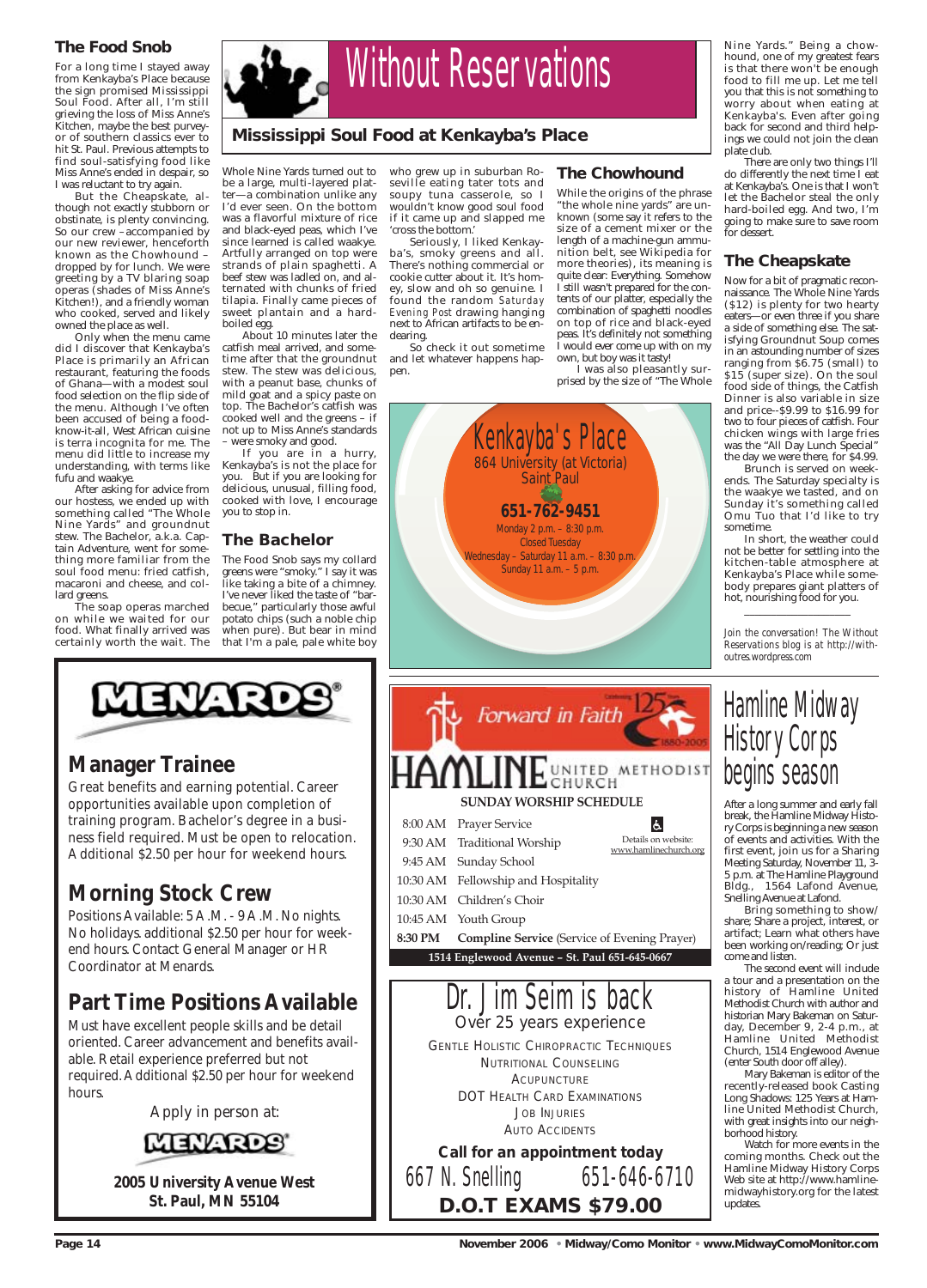### **The Food Snob**

For a long time I stayed away from Kenkayba's Place because the sign promised Mississippi Soul Food. After all, I'm still grieving the loss of Miss Anne's Kitchen, maybe the best purveyor of southern classics ever to hit St. Paul. Previous attempts to find soul-satisfying food like Miss Anne's ended in despair, so I was reluctant to try again.

But the Cheapskate, although not exactly stubborn or obstinate, is plenty convincing. So our crew –accompanied by our new reviewer, henceforth known as the Chowhound – dropped by for lunch. We were greeting by a TV blaring soap operas (shades of Miss Anne's Kitchen!), and a friendly woman who cooked, served and likely owned the place as well.

Only when the menu came did I discover that Kenkayba's Place is primarily an African restaurant, featuring the foods of Ghana—with a modest soul food selection on the flip side of the menu. Although I've often been accused of being a foodknow-it-all, West African cuisine is terra incognita for me. The menu did little to increase my understanding, with terms like fufu and waakye.

If you are in a hurry, Kenkayba's is not the place for you. But if you are looking for delicious, unusual, filling food, cooked with love, I encourage you to stop in.

After asking for advice from our hostess, we ended up with something called "The Whole Nine Yards" and groundnut stew. The Bachelor, a.k.a. Captain Adventure, went for something more familiar from the soul food menu: fried catfish, macaroni and cheese, and collard greens.

The soap operas marched on while we waited for our food. What finally arrived was certainly worth the wait. The

Whole Nine Yards turned out to be a large, multi-layered platter—a combination unlike any I'd ever seen. On the bottom was a flavorful mixture of rice and black-eyed peas, which I've since learned is called waakye. Artfully arranged on top were strands of plain spaghetti. A beef stew was ladled on, and alternated with chunks of fried tilapia. Finally came pieces of sweet plantain and a hardboiled egg.

About 10 minutes later the catfish meal arrived, and sometime after that the groundnut stew. The stew was delicious, with a peanut base, chunks of mild goat and a spicy paste on top. The Bachelor's catfish was cooked well and the greens – if not up to Miss Anne's standards – were smoky and good.

### **The Bachelor**

The Food Snob says my collard greens were "smoky." I say it was like taking a bite of a chimney. I've never liked the taste of "barbecue," particularly those awful potato chips (such a noble chip when pure). But bear in mind that I'm a pale, pale white boy

who grew up in suburban Roseville eating tater tots and soupy tuna casserole, so I wouldn't know good soul food if it came up and slapped me 'cross the bottom.'

Seriously, I liked Kenkayba's, smoky greens and all. There's nothing commercial or cookie cutter about it. It's homey, slow and oh so genuine. I found the random *Saturday Evening Post* drawing hanging next to African artifacts to be endearing.

So check it out sometime and let whatever happens happen.

#### **The Chowhound**

While the origins of the phrase "the whole nine yards" are unknown (some say it refers to the size of a cement mixer or the length of a machine-gun ammunition belt, see Wikipedia for more theories), its meaning is quite clear: Everything. Somehow I still wasn't prepared for the contents of our platter, especially the combination of spaghetti noodles on top of rice and black-eyed peas. It's definitely not something I would ever come up with on my own, but boy was it tasty!

I was also pleasantly surprised by the size of "The Whole

Jim Seim is back *Over 25 years experience* GENTLE HOLISTIC CHIROPRACTIC TECHNIQUES NUTRITIONAL COUNSELING **ACUPUNCTURE** DOT HEALTH CARD EXAMINATIONS JOB INJURIES AUTO ACCIDENTS *Call for an appointment today* 667 N. Snelling 651-646-6710 **D.O.T EXAMS \$79.00**

Nine Yards." Being a chowhound, one of my greatest fears is that there won't be enough food to fill me up. Let me tell you that this is not something to worry about when eating at Kenkayba's. Even after going back for second and third helpings we could not join the clean plate club.

There are only two things I'll do differently the next time I eat at Kenkayba's. One is that I won't let the Bachelor steal the only hard-boiled egg. And two, I'm going to make sure to save room for dessert.

#### **The Cheapskate**

Now for a bit of pragmatic reconnaissance. The Whole Nine Yards (\$12) is plenty for two hearty eaters—or even three if you share a side of something else. The satisfying Groundnut Soup comes in an astounding number of sizes ranging from \$6.75 (small) to \$15 (super size). On the soul food side of things, the Catfish Dinner is also variable in size and price--\$9.99 to \$16.99 for two to four pieces of catfish. Four chicken wings with large fries was the "All Day Lunch Special" the day we were there, for \$4.99.

Brunch is served on weekends. The Saturday specialty is the waakye we tasted, and on Sunday it's something called Omu Tuo that I'd like to try sometime.

In short, the weather could not be better for settling into the kitchen-table atmosphere at Kenkayba's Place while somebody prepares giant platters of hot, nourishing food for you.

\_\_\_\_\_\_\_\_\_\_\_\_\_\_\_\_\_\_\_\_

*Join the conversation! The Without Reservations blog is at http://withoutres.wordpress.com* 

# Hamline Midway History Corps begins season

After a long summer and early fall break, the Hamline Midway History Corps is beginning a new season of events and activities. With the first event, join us for a Sharing Meeting Saturday, November 11, 3- 5 p.m. at The Hamline Playground Bldg., 1564 Lafond Avenue, Snelling Avenue at Lafond.

Bring something to show/ share; Share a project, interest, or artifact; Learn what others have been working on/reading; Or just come and listen.

The second event will include a tour and a presentation on the history of Hamline United Methodist Church with author and historian Mary Bakeman on Saturday, December 9, 2-4 p.m., at Hamline United Methodist Church, 1514 Englewood Avenue (enter South door off alley). Mary Bakeman is editor of the recently-released book Casting Long Shadows: 125 Years at Hamline United Methodist Church, with great insights into our neighborhood history. Watch for more events in the coming months. Check out the Hamline Midway History Corps Web site at http://www.hamlinemidwayhistory.org for the latest updates.

**Page 14 November 2006 • Midway/Como Monitor • www.MidwayComoMonitor.com** 



## **Manager Trainee**

Great benefits and earning potential. Career opportunities available upon completion of training program. Bachelor's degree in a business field required. Must be open to relocation. Additional \$2.50 per hour for weekend hours.

## **Morning Stock Crew**

Positions Available: 5 A.M. - 9 A.M. No nights. No holidays. additional \$2.50 per hour for weekend hours. Contact General Manager or HR Coordinator at Menards.

## **Part Time Positions Available**

Must have excellent people skills and be detail oriented. Career advancement and benefits available. Retail experience preferred but not required. Additional \$2.50 per hour for weekend hours.

*Apply in person at:*



**2005 University Avenue West St. Paul, MN 55104**

#### **Mississippi Soul Food at Kenkayba's Place**



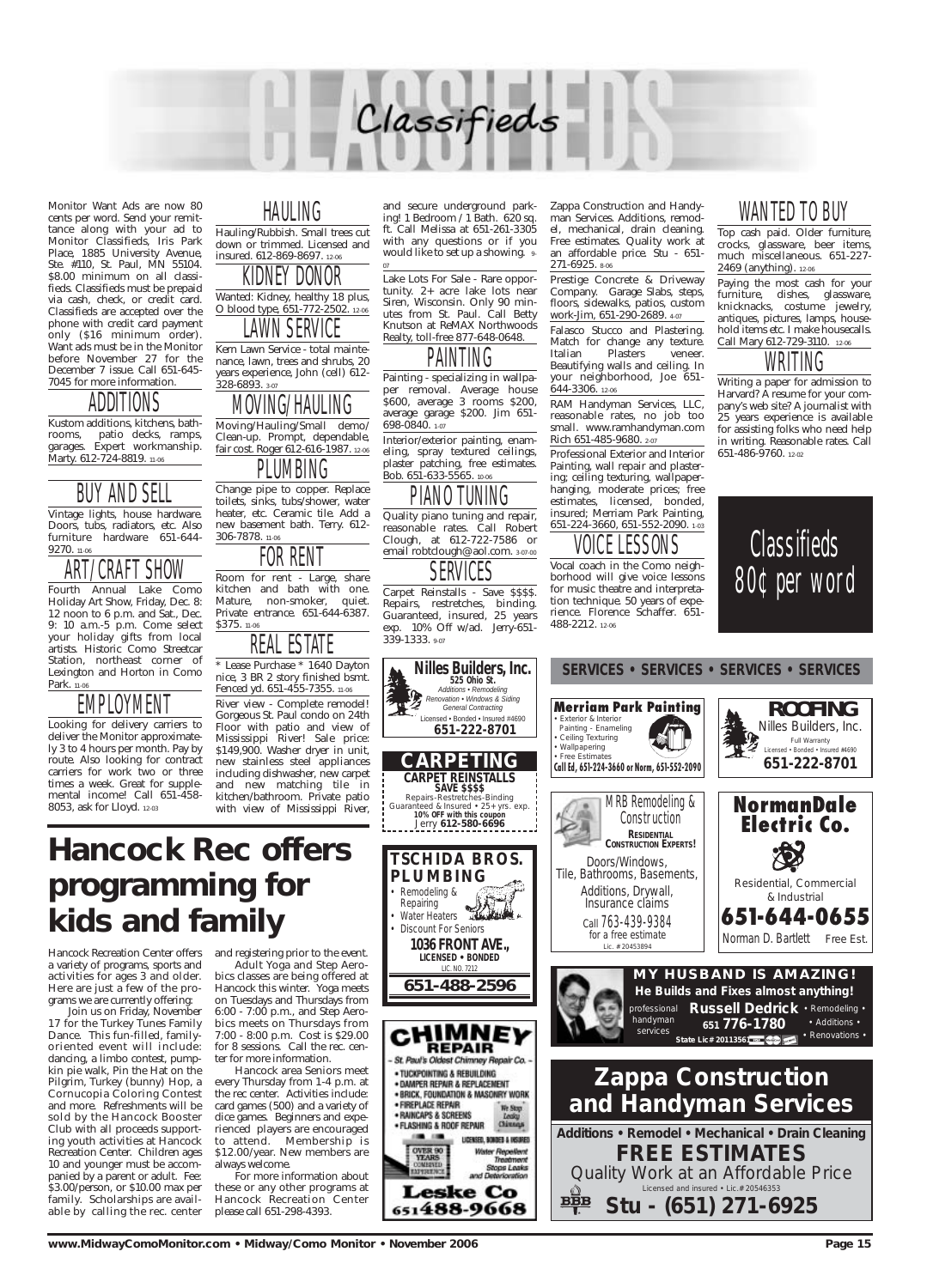

Monitor Want Ads are now 80 cents per word. Send your remittance along with your ad to Monitor Classifieds, Iris Park Place, 1885 University Avenue, Ste. #110, St. Paul, MN 55104. \$8.00 minimum on all classifieds. Classifieds must be prepaid via cash, check, or credit card. Classifieds are accepted over the phone with credit card payment only (\$16 minimum order). Want ads must be in the Monitor before November 27 for the December 7 issue. Call 651-645- 7045 for more information.

Kustom additions, kitchens, bathrooms, patio decks, ramps, garages. Expert workmanship. Marty. 612-724-8819. 11-06

Fourth Annual Lake Como Holiday Art Show, Friday, Dec. 8: 12 noon to 6 p.m. and Sat., Dec. 9: 10 a.m.-5 p.m. Come select your holiday gifts from local artists. Historic Como Streetcar Station, northeast corner of Lexington and Horton in Como Park. 11-06

## ADDITIONS

## BUY AND SELL

Vintage lights, house hardware. Doors, tubs, radiators, etc. Also furniture hardware 651-644- 9270. 11-06



## EMPLOYMENT

Looking for delivery carriers to deliver the Monitor approximately 3 to 4 hours per month. Pay by route. Also looking for contract carriers for work two or three times a week. Great for supplemental income! Call 651-458- 8053, ask for Lloyd. 12-03

## HAULING

Hauling/Rubbish. Small trees cut down or trimmed. Licensed and insured. 612-869-8697. 12-06

### KIDNEY DONOR

Wanted: Kidney, healthy 18 plus, O blood type, 651-772-2502. 12-06

LAWN SERVICE Kern Lawn Service - total mainte-

nance, lawn, trees and shrubs, 20 years experience, John (cell) 612- 328-6893. 3-07

## MOVING/HAULING

Moving/Hauling/Small demo/ Clean-up. Prompt, dependable, fair cost. Roger 612-616-1987. 12-06



Change pipe to copper. Replace toilets, sinks, tubs/shower, water heater, etc. Ceramic tile. Add a new basement bath. Terry. 612- 306-7878. 11-06



Room for rent - Large, share kitchen and bath with one. Mature, non-smoker, quiet. Private entrance. 651-644-6387. \$375. 11-06

REAL ESTATE

\* Lease Purchase \* 1640 Dayton nice, 3 BR 2 story finished bsmt. Fenced yd. 651-455-7355. 11-06 River view - Complete remodel! Gorgeous St. Paul condo on 24th Floor with patio and view of Mississippi River! Sale price:

\$149,900. Washer dryer in unit, new stainless steel appliances including dishwasher, new carpet and new matching tile in kitchen/bathroom. Private patio with view of Mississippi River,

and secure underground parking! 1 Bedroom / 1 Bath. 620 sq. ft. Call Melissa at 651-261-3305 with any questions or if you would like to set up a showing. 9-

07

## PAINTING

Lake Lots For Sale - Rare opportunity. 2+ acre lake lots near Siren, Wisconsin. Only 90 minutes from St. Paul. Call Betty Knutson at ReMAX Northwoods Realty, toll-free 877-648-0648.

Painting - specializing in wallpaper removal. Average house \$600, average 3 rooms \$200, average garage \$200. Jim 651- 698-0840. 1-07

Remodeling &<br>Repairing Repairing • Water Heaters • Discount For Seniors

Interior/exterior painting, enameling, spray textured ceilings, plaster patching, free estimates. Bob. 651-633-5565. 10-06



Quality piano tuning and repair, reasonable rates. Call Robert Clough, at 612-722-7586 or email robtclough@aol.com. 3-07-00

# **SERVICES**

Carpet Reinstalls - Save \$\$\$\$. Repairs, restretches, binding. Guaranteed, insured, 25 years exp. 10% Off w/ad. Jerry-651- 339-1333. 9-07

Zappa Construction and Handyman Services. Additions, remodel, mechanical, drain cleaning. Free estimates. Quality work at an affordable price. Stu - 651- 271-6925. 8-06

Prestige Concrete & Driveway Company. Garage Slabs, steps, floors, sidewalks, patios, custom work-Jim, 651-290-2689. 4-07

Falasco Stucco and Plastering. Match for change any texture. Italian Plasters veneer. Beautifying walls and ceiling. In your neighborhood, Joe 651- 644-3306. 12-06

RAM Handyman Services, LLC, reasonable rates, no job too small. www.ramhandyman.com Rich 651-485-9680. 2-07

Professional Exterior and Interior Painting, wall repair and plastering; ceiling texturing, wallpaperhanging, moderate prices; free estimates, licensed, bonded, insured; Merriam Park Painting, 651-224-3660, 651-552-2090. 1-03

### VOICE LESSONS

Vocal coach in the Como neighborhood will give voice lessons for music theatre and interpretation technique. 50 years of experience. Florence Schaffer. 651- 488-2212. 12-06

## WANTED TO BUY

Top cash paid. Older furniture, crocks, glassware, beer items, much miscellaneous. 651-227- 2469 (anything). 12-06

Paying the most cash for your furniture, dishes, glassware, knicknacks, costume jewelry, antiques, pictures, lamps, household items etc. I make housecalls. Call Mary 612-729-3110. 12-06

## WRITING

Writing a paper for admission to Harvard? A resume for your company's web site? A journalist with 25 years experience is available for assisting folks who need help in writing. Reasonable rates. Call 651-486-9760. 12-02

**SAVE \$\$\$\$**

**525 Ohio St.**

**MY HUSBAND IS AMAZING! He Builds and Fixes almost anything!**





**PLUMBING**

*LICENSED • BONDED* LIC. NO. 7212 **651-488-2596**





Hancock Recreation Center offers a variety of programs, sports and activities for ages 3 and older. Here are just a few of the programs we are currently offering:

Join us on Friday, November 17 for the Turkey Tunes Family Dance. This fun-filled, familyoriented event will include: dancing, a limbo contest, pumpkin pie walk, Pin the Hat on the Pilgrim, Turkey (bunny) Hop, a Cornucopia Coloring Contest and more. Refreshments will be sold by the Hancock Booster Club with all proceeds supporting youth activities at Hancock Recreation Center. Children ages 10 and younger must be accompanied by a parent or adult. Fee: \$3.00/person, or \$10.00 max per family. Scholarships are available by calling the rec. center and registering prior to the event. Adult Yoga and Step Aerobics classes are being offered at Hancock this winter. Yoga meets on Tuesdays and Thursdays from 6:00 - 7:00 p.m., and Step Aerobics meets on Thursdays from 7:00 - 8:00 p.m. Cost is \$29.00 for 8 sessions. Call the rec. center for more information. Hancock area Seniors meet every Thursday from 1-4 p.m. at the rec center. Activities include: card games (500) and a variety of dice games. Beginners and experienced players are encouraged to attend. Membership is \$12.00/year. New members are always welcome. For more information about these or any other programs at Hancock Recreation Center please call 651-298-4393.

# **Hancock Rec offers programming for kids and family**